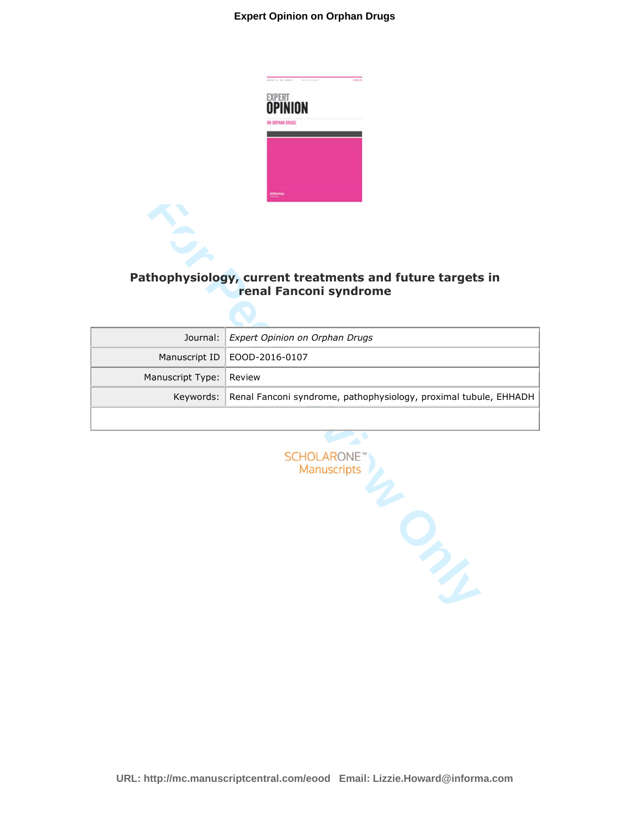## **Expert Opinion on Orphan Drugs**



## **Pathophysiology, current treatments and future targets in renal Fanconi syndrome**

|                         | Journal: Expert Opinion on Orphan Drugs                                    |
|-------------------------|----------------------------------------------------------------------------|
|                         | Manuscript ID   EOOD-2016-0107                                             |
| Manuscript Type: Review |                                                                            |
|                         | Keywords: Renal Fanconi syndrome, pathophysiology, proximal tubule, EHHADH |
|                         |                                                                            |

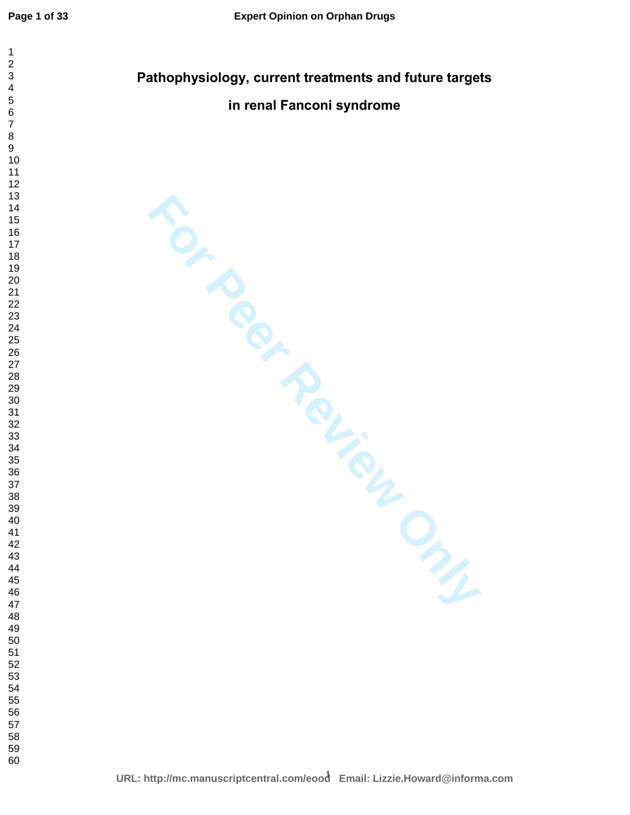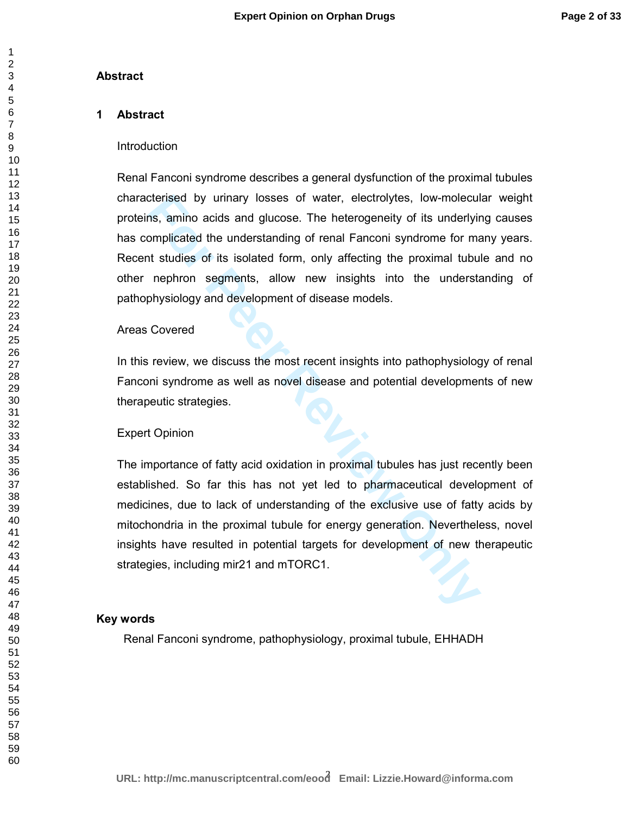## **Abstract**

## **1 Abstract**

## Introduction

cterised by urinary losses of water, electrolytes, low-molecul<br>
Ins, amino acids and glucose. The heterogeneity of its underlyin<br>
smplicated the understanding of renal Fanconi syndrome for mat<br>
atuties of its isolated form Renal Fanconi syndrome describes a general dysfunction of the proximal tubules characterised by urinary losses of water, electrolytes, low-molecular weight proteins, amino acids and glucose. The heterogeneity of its underlying causes has complicated the understanding of renal Fanconi syndrome for many years. Recent studies of its isolated form, only affecting the proximal tubule and no other nephron segments, allow new insights into the understanding of pathophysiology and development of disease models.

## Areas Covered

In this review, we discuss the most recent insights into pathophysiology of renal Fanconi syndrome as well as novel disease and potential developments of new therapeutic strategies.

## Expert Opinion

The importance of fatty acid oxidation in proximal tubules has just recently been established. So far this has not yet led to pharmaceutical development of medicines, due to lack of understanding of the exclusive use of fatty acids by mitochondria in the proximal tubule for energy generation. Nevertheless, novel insights have resulted in potential targets for development of new therapeutic strategies, including mir21 and mTORC1.

### **Key words**

Renal Fanconi syndrome, pathophysiology, proximal tubule, EHHADH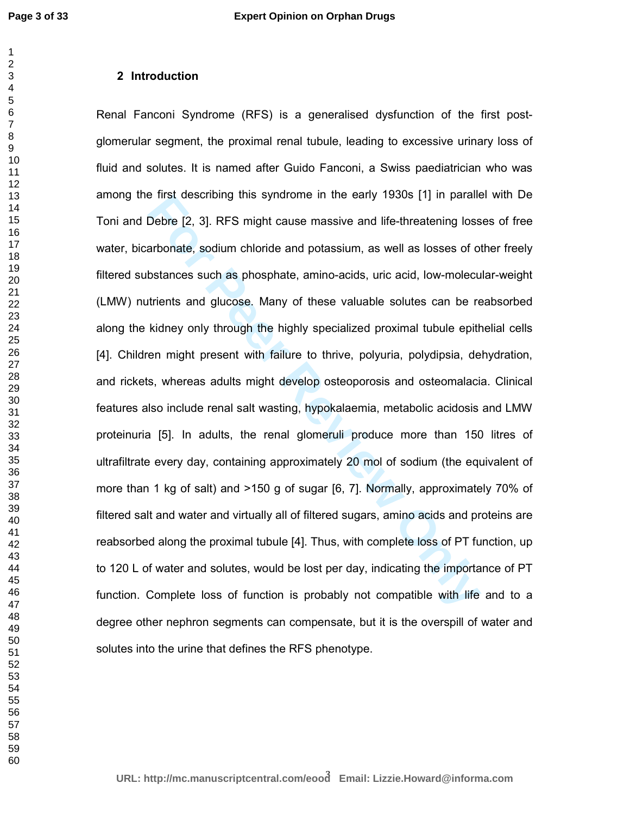## **2 Introduction**

**For Perist describing this syndrome in the early 1930s [1] in paralitie-threatening loss<br>
<b>For Peer Peer Review Community Conduct** and life-threatening loss<br> **Example 8** and potasium, as well as losses of o<br> **bostances** s Renal Fanconi Syndrome (RFS) is a generalised dysfunction of the first postglomerular segment, the proximal renal tubule, leading to excessive urinary loss of fluid and solutes. It is named after Guido Fanconi, a Swiss paediatrician who was among the first describing this syndrome in the early 1930s [1] in parallel with De Toni and Debre [2, 3]. RFS might cause massive and life-threatening losses of free water, bicarbonate, sodium chloride and potassium, as well as losses of other freely filtered substances such as phosphate, amino-acids, uric acid, low-molecular-weight (LMW) nutrients and glucose. Many of these valuable solutes can be reabsorbed along the kidney only through the highly specialized proximal tubule epithelial cells [4]. Children might present with failure to thrive, polyuria, polydipsia, dehydration, and rickets, whereas adults might develop osteoporosis and osteomalacia. Clinical features also include renal salt wasting, hypokalaemia, metabolic acidosis and LMW proteinuria [5]. In adults, the renal glomeruli produce more than 150 litres of ultrafiltrate every day, containing approximately 20 mol of sodium (the equivalent of more than 1 kg of salt) and >150 g of sugar [6, 7]. Normally, approximately 70% of filtered salt and water and virtually all of filtered sugars, amino acids and proteins are reabsorbed along the proximal tubule [4]. Thus, with complete loss of PT function, up to 120 L of water and solutes, would be lost per day, indicating the importance of PT function. Complete loss of function is probably not compatible with life and to a degree other nephron segments can compensate, but it is the overspill of water and solutes into the urine that defines the RFS phenotype.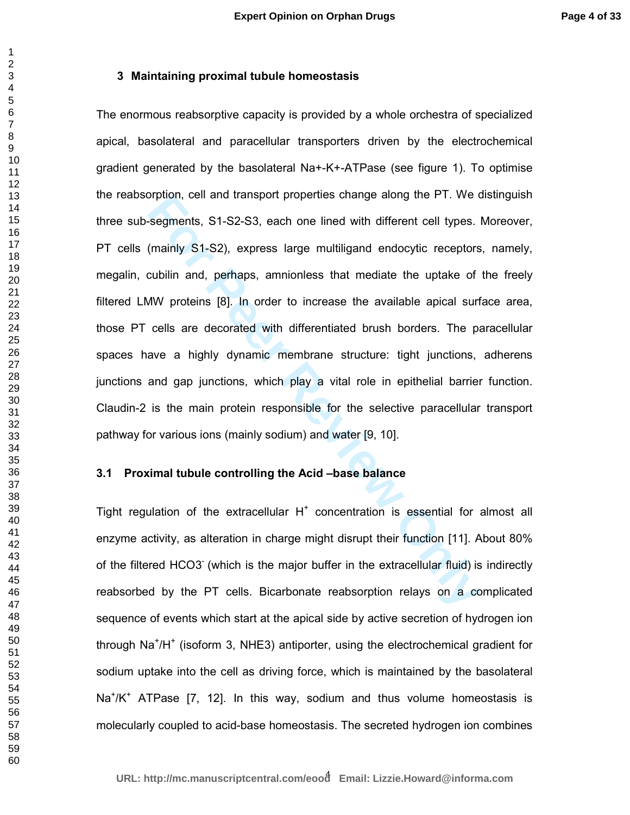## **3 Maintaining proximal tubule homeostasis**

**Formal Solution**, cell and transport properties change along the P1, we desegments, S1-S2-S3, each one lined with different cell types.<br>
(mainly S1-S2), express large multiligand endocytic receptors<br>
cubilin and, perhaps, The enormous reabsorptive capacity is provided by a whole orchestra of specialized apical, basolateral and paracellular transporters driven by the electrochemical gradient generated by the basolateral Na+-K+-ATPase (see figure 1). To optimise the reabsorption, cell and transport properties change along the PT. We distinguish three sub-segments, S1-S2-S3, each one lined with different cell types. Moreover, PT cells (mainly S1-S2), express large multiligand endocytic receptors, namely, megalin, cubilin and, perhaps, amnionless that mediate the uptake of the freely filtered LMW proteins [8]. In order to increase the available apical surface area, those PT cells are decorated with differentiated brush borders. The paracellular spaces have a highly dynamic membrane structure: tight junctions, adherens junctions and gap junctions, which play a vital role in epithelial barrier function. Claudin-2 is the main protein responsible for the selective paracellular transport pathway for various ions (mainly sodium) and water [9, 10].

#### **3.1 Proximal tubule controlling the Acid –base balance**

Tight regulation of the extracellular  $H^+$  concentration is essential for almost all enzyme activity, as alteration in charge might disrupt their function [11]. About 80% of the filtered HCO3- (which is the major buffer in the extracellular fluid) is indirectly reabsorbed by the PT cells. Bicarbonate reabsorption relays on a complicated sequence of events which start at the apical side by active secretion of hydrogen ion through Na<sup>+</sup>/H<sup>+</sup> (isoform 3, NHE3) antiporter, using the electrochemical gradient for sodium uptake into the cell as driving force, which is maintained by the basolateral Na<sup>+</sup>/K<sup>+</sup> ATPase [7, 12]. In this way, sodium and thus volume homeostasis is molecularly coupled to acid-base homeostasis. The secreted hydrogen ion combines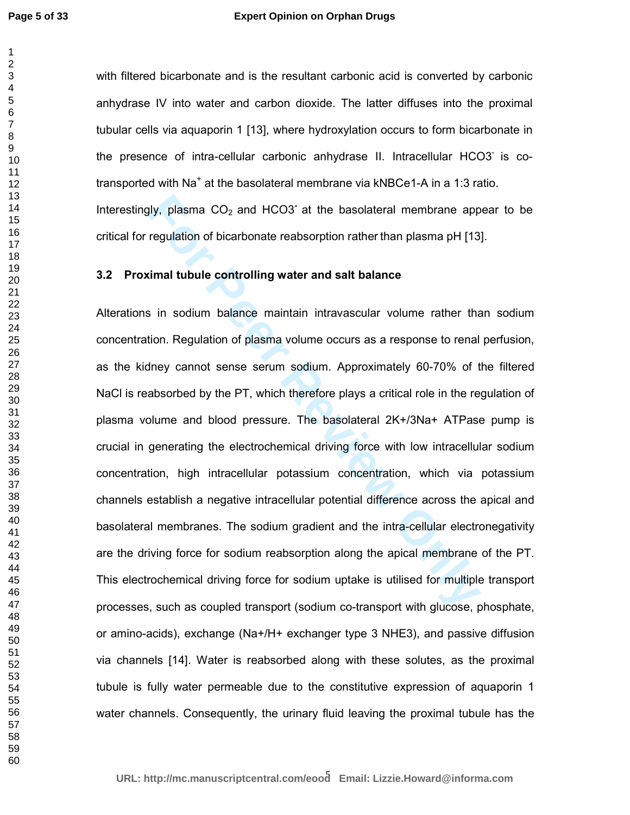#### **Expert Opinion on Orphan Drugs**

> 

with filtered bicarbonate and is the resultant carbonic acid is converted by carbonic anhydrase IV into water and carbon dioxide. The latter diffuses into the proximal tubular cells via aquaporin 1 [13], where hydroxylation occurs to form bicarbonate in the presence of intra-cellular carbonic anhydrase II. Intracellular HCO3- is cotransported with Na<sup>+</sup> at the basolateral membrane via kNBCe1-A in a 1:3 ratio. Interestingly, plasma CO<sub>2</sub> and HCO3<sup>-</sup> at the basolateral membrane appear to be critical for regulation of bicarbonate reabsorption rather than plasma pH [13].

### **3.2 Proximal tubule controlling water and salt balance**

gly, plasma CO<sub>2</sub> and HCO3<sup>-</sup> at the basolateral membrane app<br>regulation of bicarbonate reabsorption rather than plasma pH [13<br>**imal tubule controlling water and salt balance**<br>s in sodium balance maintain intravascular vol Alterations in sodium balance maintain intravascular volume rather than sodium concentration. Regulation of plasma volume occurs as a response to renal perfusion, as the kidney cannot sense serum sodium. Approximately 60-70% of the filtered NaCl is reabsorbed by the PT, which therefore plays a critical role in the regulation of plasma volume and blood pressure. The basolateral 2K+/3Na+ ATPase pump is crucial in generating the electrochemical driving force with low intracellular sodium concentration, high intracellular potassium concentration, which via potassium channels establish a negative intracellular potential difference across the apical and basolateral membranes. The sodium gradient and the intra-cellular electronegativity are the driving force for sodium reabsorption along the apical membrane of the PT. This electrochemical driving force for sodium uptake is utilised for multiple transport processes, such as coupled transport (sodium co-transport with glucose, phosphate, or amino-acids), exchange (Na+/H+ exchanger type 3 NHE3), and passive diffusion via channels [14]. Water is reabsorbed along with these solutes, as the proximal tubule is fully water permeable due to the constitutive expression of aquaporin 1 water channels. Consequently, the urinary fluid leaving the proximal tubule has the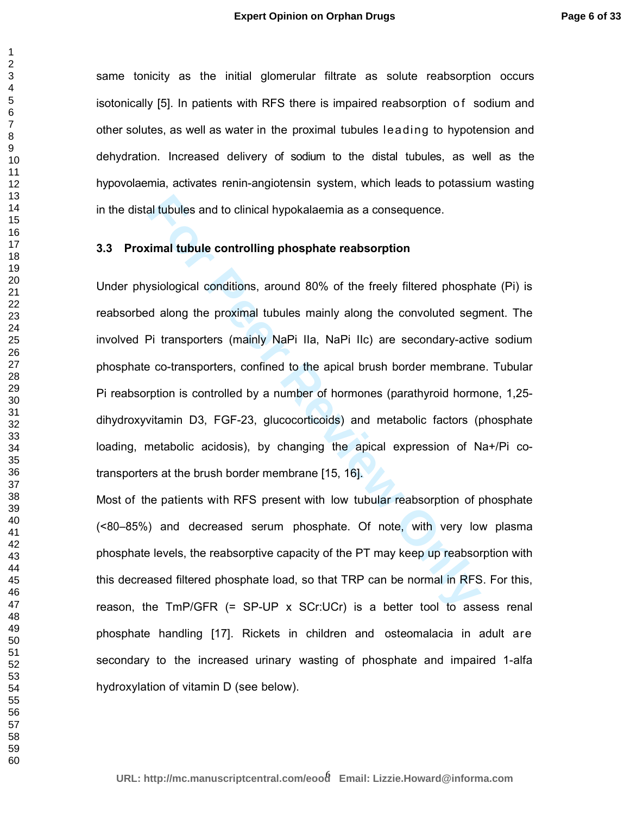same tonicity as the initial glomerular filtrate as solute reabsorption occurs isotonically [5]. In patients with RFS there is impaired reabsorption of sodium and other solutes, as well as water in the proximal tubules leading to hypotension and dehydration. Increased delivery of sodium to the distal tubules, as well as the hypovolaemia, activates renin-angiotensin system, which leads to potassium wasting in the distal tubules and to clinical hypokalaemia as a consequence.

## **3.3 Proximal tubule controlling phosphate reabsorption**

al tubules and to clinical hypokalaemia as a consequence.<br> **For Formal tubule controlling phosphate reabsorption**<br> **For Formal tubules mainly along the convoluted segral along the proximal tubules mainly along the convolut** Under physiological conditions, around 80% of the freely filtered phosphate (Pi) is reabsorbed along the proximal tubules mainly along the convoluted segment. The involved Pi transporters (mainly NaPi IIa, NaPi IIc) are secondary-active sodium phosphate co-transporters, confined to the apical brush border membrane. Tubular Pi reabsorption is controlled by a number of hormones (parathyroid hormone, 1,25 dihydroxyvitamin D3, FGF-23, glucocorticoids) and metabolic factors (phosphate loading, metabolic acidosis), by changing the apical expression of Na+/Pi cotransporters at the brush border membrane [15, 16].

Most of the patients with RFS present with low tubular reabsorption of phosphate (<80–85%) and decreased serum phosphate. Of note, with very low plasma phosphate levels, the reabsorptive capacity of the PT may keep up reabsorption with this decreased filtered phosphate load, so that TRP can be normal in RFS. For this, reason, the  $T_{\text{m}}P/\text{GFR}$  (= SP-UP x SCr:UCr) is a better tool to assess renal phosphate handling [17]. Rickets in children and osteomalacia in adult are secondary to the increased urinary wasting of phosphate and impaired 1-alfa hydroxylation of vitamin D (see below).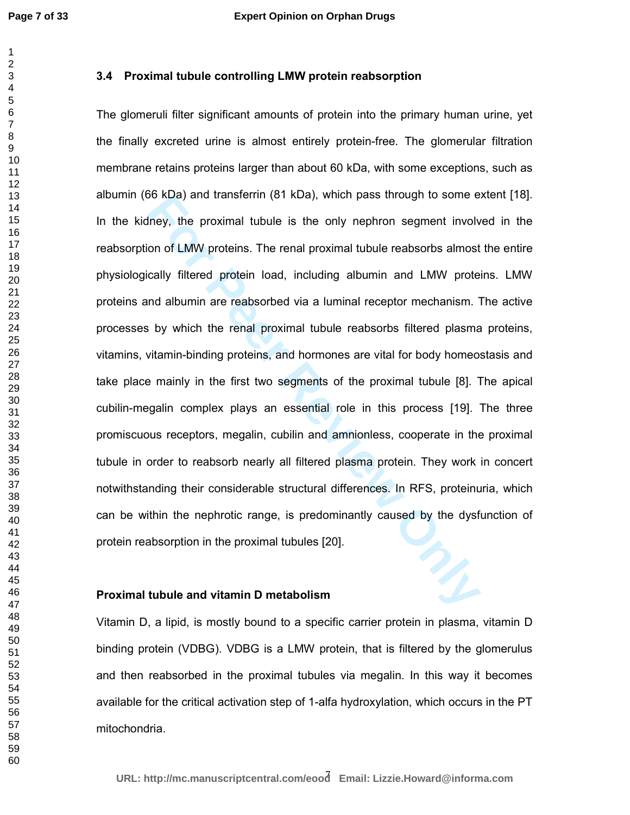## **3.4 Proximal tubule controlling LMW protein reabsorption**

**For NDS KDB** and transferrin (81 KDB), which pass through to some elemey, the proximal tubule is the only nephron segment involved on of LMW proteins. The renal proximal tubule reabsorbs almost cally filtered protein load The glomeruli filter significant amounts of protein into the primary human urine, yet the finally excreted urine is almost entirely protein-free. The glomerular filtration membrane retains proteins larger than about 60 kDa, with some exceptions, such as albumin (66 kDa) and transferrin (81 kDa), which pass through to some extent [18]. In the kidney, the proximal tubule is the only nephron segment involved in the reabsorption of LMW proteins. The renal proximal tubule reabsorbs almost the entire physiologically filtered protein load, including albumin and LMW proteins. LMW proteins and albumin are reabsorbed via a luminal receptor mechanism. The active processes by which the renal proximal tubule reabsorbs filtered plasma proteins, vitamins, vitamin-binding proteins, and hormones are vital for body homeostasis and take place mainly in the first two segments of the proximal tubule [8]. The apical cubilin-megalin complex plays an essential role in this process [19]. The three promiscuous receptors, megalin, cubilin and amnionless, cooperate in the proximal tubule in order to reabsorb nearly all filtered plasma protein. They work in concert notwithstanding their considerable structural differences. In RFS, proteinuria, which can be within the nephrotic range, is predominantly caused by the dysfunction of protein reabsorption in the proximal tubules [20].

#### **Proximal tubule and vitamin D metabolism**

Vitamin D, a lipid, is mostly bound to a specific carrier protein in plasma, vitamin D binding protein (VDBG). VDBG is a LMW protein, that is filtered by the glomerulus and then reabsorbed in the proximal tubules via megalin. In this way it becomes available for the critical activation step of 1-alfa hydroxylation, which occurs in the PT mitochondria.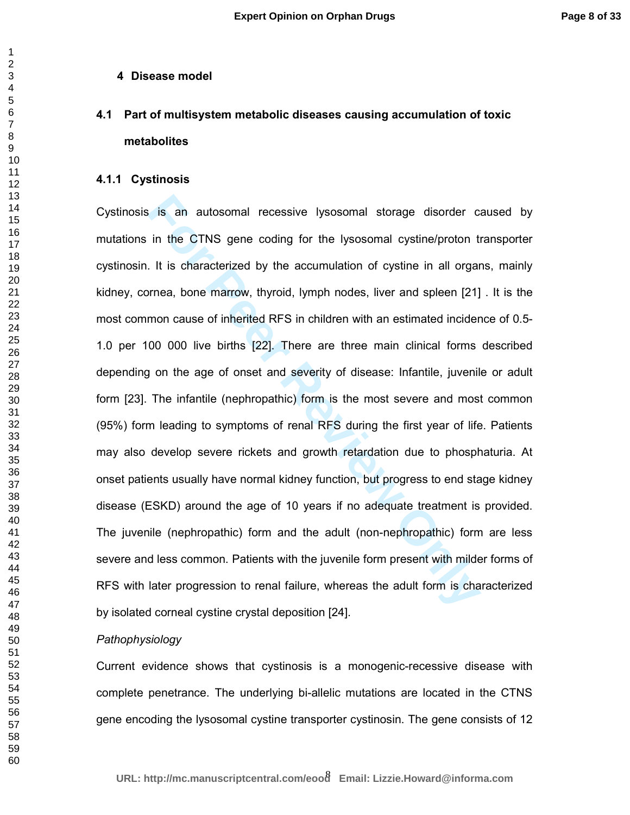#### **4 Disease model**

# **4.1 Part of multisystem metabolic diseases causing accumulation of toxic metabolites**

#### **4.1.1 Cystinosis**

**Formal standard Example 19 and School School School School School School School School School School School School School School School School School School School School School School School School School School School S** Cystinosis is an autosomal recessive lysosomal storage disorder caused by mutations in the CTNS gene coding for the lysosomal cystine/proton transporter cystinosin. It is characterized by the accumulation of cystine in all organs, mainly kidney, cornea, bone marrow, thyroid, lymph nodes, liver and spleen [21] . It is the most common cause of inherited RFS in children with an estimated incidence of 0.5- 1.0 per 100 000 live births [22]. There are three main clinical forms described depending on the age of onset and severity of disease: Infantile, juvenile or adult form [23]. The infantile (nephropathic) form is the most severe and most common (95%) form leading to symptoms of renal RFS during the first year of life. Patients may also develop severe rickets and growth retardation due to phosphaturia. At onset patients usually have normal kidney function, but progress to end stage kidney disease (ESKD) around the age of 10 years if no adequate treatment is provided. The juvenile (nephropathic) form and the adult (non-nephropathic) form are less severe and less common. Patients with the juvenile form present with milder forms of RFS with later progression to renal failure, whereas the adult form is characterized by isolated corneal cystine crystal deposition [24].

## *Pathophysiology*

Current evidence shows that cystinosis is a monogenic-recessive disease with complete penetrance. The underlying bi-allelic mutations are located in the CTNS gene encoding the lysosomal cystine transporter cystinosin. The gene consists of 12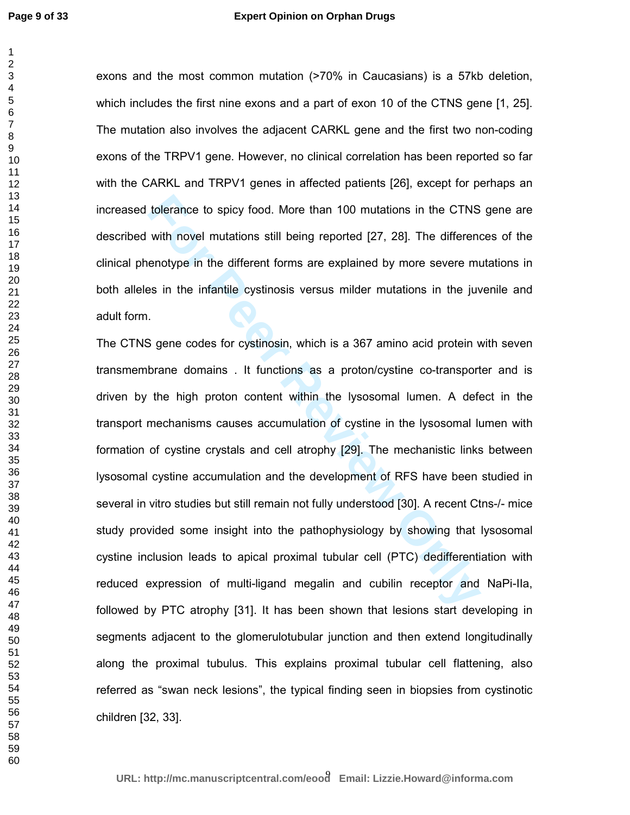#### **Expert Opinion on Orphan Drugs**

exons and the most common mutation (>70% in Caucasians) is a 57kb deletion, which includes the first nine exons and a part of exon 10 of the CTNS gene [1, 25]. The mutation also involves the adjacent CARKL gene and the first two non-coding exons of the TRPV1 gene. However, no clinical correlation has been reported so far with the CARKL and TRPV1 genes in affected patients [26], except for perhaps an increased tolerance to spicy food. More than 100 mutations in the CTNS gene are described with novel mutations still being reported [27, 28]. The differences of the clinical phenotype in the different forms are explained by more severe mutations in both alleles in the infantile cystinosis versus milder mutations in the juvenile and adult form.

tolerance to spicy food. More than 100 mutations in the CTNS<br>with novel mutations still being reported [27, 28]. The difference<br>enotype in the different forms are explained by more severe m<br>ss in the infantile cystinosis v The CTNS gene codes for cystinosin, which is a 367 amino acid protein with seven transmembrane domains . It functions as a proton/cystine co-transporter and is driven by the high proton content within the lysosomal lumen. A defect in the transport mechanisms causes accumulation of cystine in the lysosomal lumen with formation of cystine crystals and cell atrophy [29]. The mechanistic links between lysosomal cystine accumulation and the development of RFS have been studied in several in vitro studies but still remain not fully understood [30]. A recent Ctns-/- mice study provided some insight into the pathophysiology by showing that lysosomal cystine inclusion leads to apical proximal tubular cell (PTC) dedifferentiation with reduced expression of multi-ligand megalin and cubilin receptor and NaPi-IIa, followed by PTC atrophy [31]. It has been shown that lesions start developing in segments adjacent to the glomerulotubular junction and then extend longitudinally along the proximal tubulus. This explains proximal tubular cell flattening, also referred as "swan neck lesions", the typical finding seen in biopsies from cystinotic children [32, 33].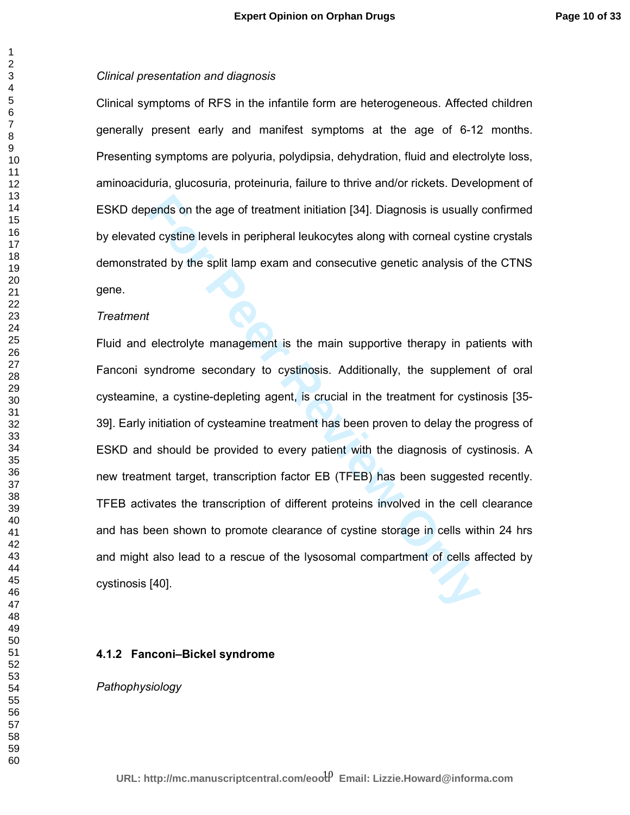#### *Clinical presentation and diagnosis*

Clinical symptoms of RFS in the infantile form are heterogeneous. Affected children generally present early and manifest symptoms at the age of 6-12 months. Presenting symptoms are polyuria, polydipsia, dehydration, fluid and electrolyte loss, aminoaciduria, glucosuria, proteinuria, failure to thrive and/or rickets. Development of ESKD depends on the age of treatment initiation [34]. Diagnosis is usually confirmed by elevated cystine levels in peripheral leukocytes along with corneal cystine crystals demonstrated by the split lamp exam and consecutive genetic analysis of the CTNS gene.

#### *Treatment*

bends on the age of treatment initiation [34]. Diagnosis is usually<br>
review and consider the control evolution of the split lamp exam and consecutive genetic analysis of<br>
feed by the split lamp exam and consecutive genetic Fluid and electrolyte management is the main supportive therapy in patients with Fanconi syndrome secondary to cystinosis. Additionally, the supplement of oral cysteamine, a cystine-depleting agent, is crucial in the treatment for cystinosis [35- 39]. Early initiation of cysteamine treatment has been proven to delay the progress of ESKD and should be provided to every patient with the diagnosis of cystinosis. A new treatment target, transcription factor EB (TFEB) has been suggested recently. TFEB activates the transcription of different proteins involved in the cell clearance and has been shown to promote clearance of cystine storage in cells within 24 hrs and might also lead to a rescue of the lysosomal compartment of cells affected by cystinosis [40].

### **4.1.2 Fanconi–Bickel syndrome**

## *Pathophysiology*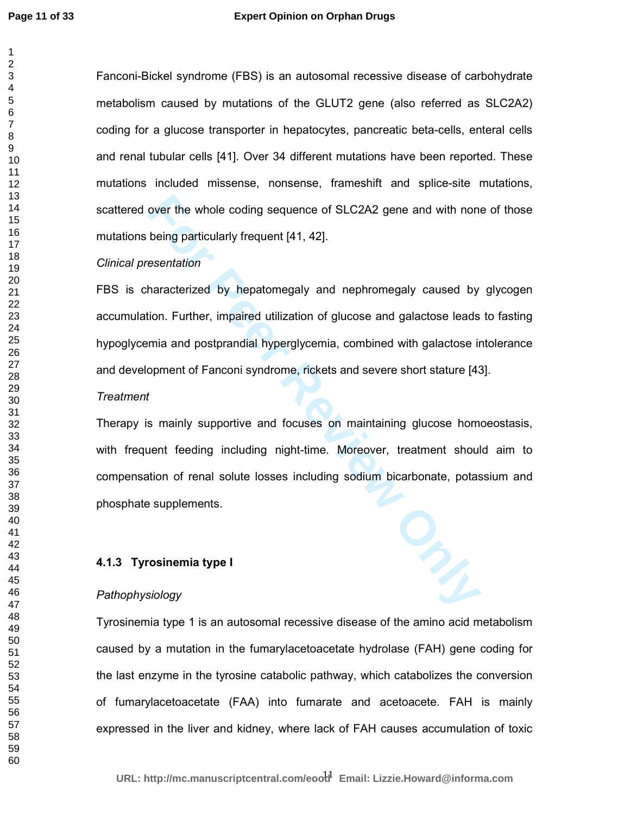#### **Expert Opinion on Orphan Drugs**

Fanconi-Bickel syndrome (FBS) is an autosomal recessive disease of carbohydrate metabolism caused by mutations of the GLUT2 gene (also referred as SLC2A2) coding for a glucose transporter in hepatocytes, pancreatic beta-cells, enteral cells and renal tubular cells [41]. Over 34 different mutations have been reported. These mutations included missense, nonsense, frameshift and splice-site mutations, scattered over the whole coding sequence of SLC2A2 gene and with none of those mutations being particularly frequent [41, 42].

#### *Clinical presentation*

over the whole coding sequence of SLC2A2 gene and with non-<br>
being particularly frequent [41, 42].<br> **Executation**<br>
haracterized by hepatomegaly and nephromegaly caused by<br>
tion. Further, impaired utilization of glucose and FBS is characterized by hepatomegaly and nephromegaly caused by glycogen accumulation. Further, impaired utilization of glucose and galactose leads to fasting hypoglycemia and postprandial hyperglycemia, combined with galactose intolerance and development of Fanconi syndrome, rickets and severe short stature [43].

#### *Treatment*

Therapy is mainly supportive and focuses on maintaining glucose homoeostasis, with frequent feeding including night-time. Moreover, treatment should aim to compensation of renal solute losses including sodium bicarbonate, potassium and phosphate supplements.

## **4.1.3 Tyrosinemia type I**

#### *Pathophysiology*

Tyrosinemia type 1 is an autosomal recessive disease of the amino acid metabolism caused by a mutation in the fumarylacetoacetate hydrolase (FAH) gene coding for the last enzyme in the tyrosine catabolic pathway, which catabolizes the conversion of fumarylacetoacetate (FAA) into fumarate and acetoacete. FAH is mainly expressed in the liver and kidney, where lack of FAH causes accumulation of toxic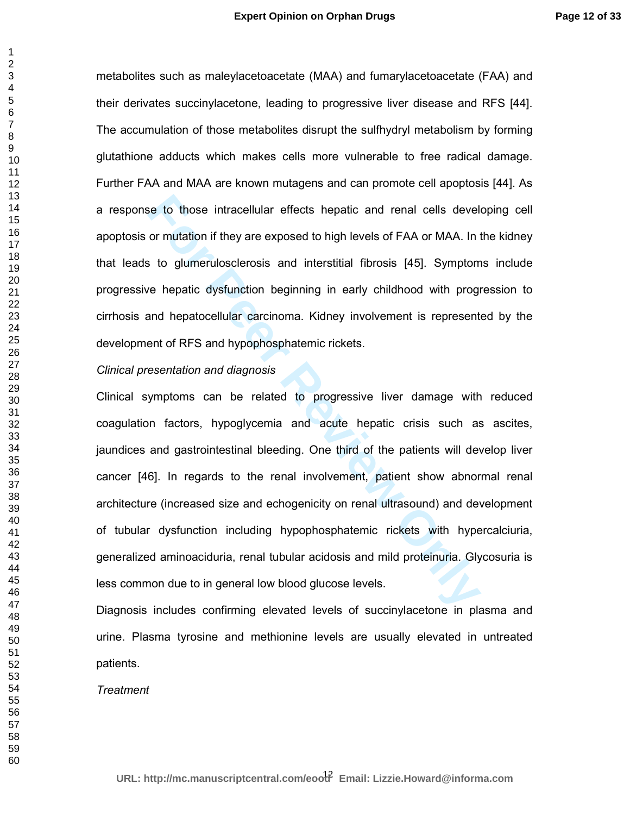metabolites such as maleylacetoacetate (MAA) and fumarylacetoacetate (FAA) and their derivates succinylacetone, leading to progressive liver disease and RFS [44]. The accumulation of those metabolites disrupt the sulfhydryl metabolism by forming glutathione adducts which makes cells more vulnerable to free radical damage. Further FAA and MAA are known mutagens and can promote cell apoptosis [44]. As a response to those intracellular effects hepatic and renal cells developing cell apoptosis or mutation if they are exposed to high levels of FAA or MAA. In the kidney that leads to glumerulosclerosis and interstitial fibrosis [45]. Symptoms include progressive hepatic dysfunction beginning in early childhood with progression to cirrhosis and hepatocellular carcinoma. Kidney involvement is represented by the development of RFS and hypophosphatemic rickets.

#### *Clinical presentation and diagnosis*

is to those intracellular effects hepatic and renal cells devel<br>or mutation if they are exposed to high levels of FAA or MAA. In t<br>sto glumerulosclerosis and interstitial fibrosis [45]. Symptom<br>ve hepatic dysfunction begin Clinical symptoms can be related to progressive liver damage with reduced coagulation factors, hypoglycemia and acute hepatic crisis such as ascites, jaundices and gastrointestinal bleeding. One third of the patients will develop liver cancer [46]. In regards to the renal involvement, patient show abnormal renal architecture (increased size and echogenicity on renal ultrasound) and development of tubular dysfunction including hypophosphatemic rickets with hypercalciuria, generalized aminoaciduria, renal tubular acidosis and mild proteinuria. Glycosuria is less common due to in general low blood glucose levels.

Diagnosis includes confirming elevated levels of succinylacetone in plasma and urine. Plasma tyrosine and methionine levels are usually elevated in untreated patients.

## *Treatment*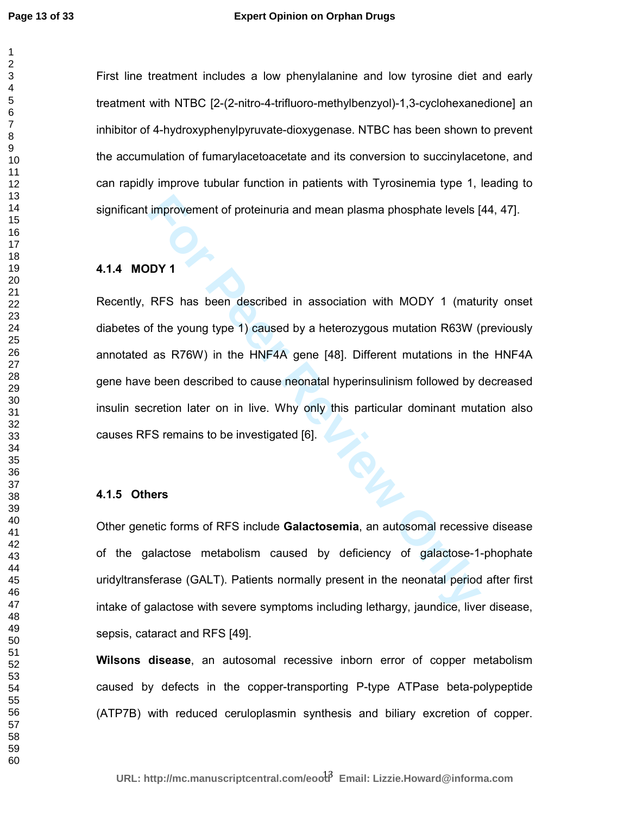### **Expert Opinion on Orphan Drugs**

First line treatment includes a low phenylalanine and low tyrosine diet and early treatment with NTBC [2-(2-nitro-4-trifluoro-methylbenzyol)-1,3-cyclohexanedione] an inhibitor of 4-hydroxyphenylpyruvate-dioxygenase. NTBC has been shown to prevent the accumulation of fumarylacetoacetate and its conversion to succinylacetone, and can rapidly improve tubular function in patients with Tyrosinemia type 1, leading to significant improvement of proteinuria and mean plasma phosphate levels [44, 47].

## **4.1.4 MODY 1**

**For Peer Review Only** Recently, RFS has been described in association with MODY 1 (maturity onset diabetes of the young type 1) caused by a heterozygous mutation R63W (previously annotated as R76W) in the HNF4A gene [48]. Different mutations in the HNF4A gene have been described to cause neonatal hyperinsulinism followed by decreased insulin secretion later on in live. Why only this particular dominant mutation also causes RFS remains to be investigated [6].

#### **4.1.5 Others**

Other genetic forms of RFS include **Galactosemia**, an autosomal recessive disease of the galactose metabolism caused by deficiency of galactose-1-phophate uridyltransferase (GALT). Patients normally present in the neonatal period after first intake of galactose with severe symptoms including lethargy, jaundice, liver disease, sepsis, cataract and RFS [49].

**Wilsons disease**, an autosomal recessive inborn error of copper metabolism caused by defects in the copper-transporting P-type ATPase beta-polypeptide (ATP7B) with reduced ceruloplasmin synthesis and biliary excretion of copper.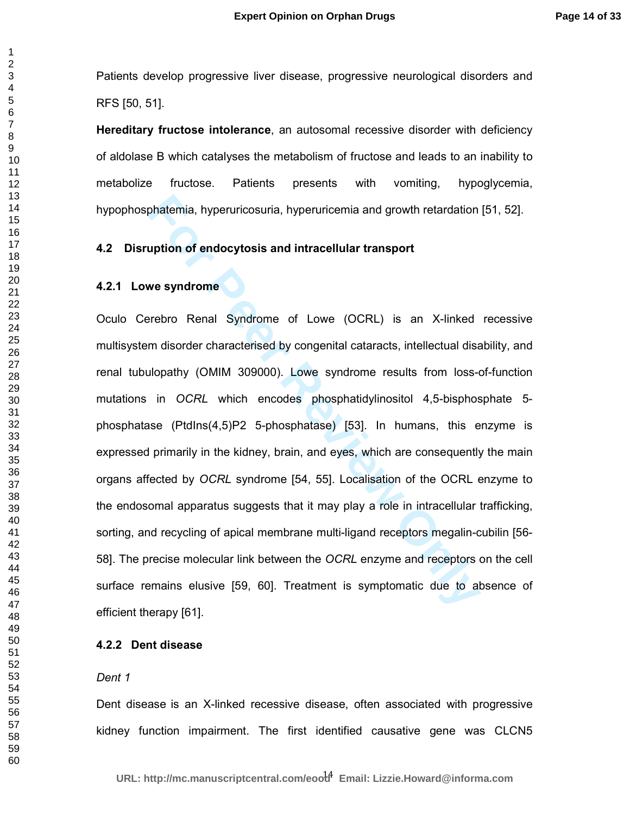Patients develop progressive liver disease, progressive neurological disorders and RFS [50, 51].

**Hereditary fructose intolerance**, an autosomal recessive disorder with deficiency of aldolase B which catalyses the metabolism of fructose and leads to an inability to metabolize fructose. Patients presents with vomiting, hypoglycemia, hypophosphatemia, hyperuricosuria, hyperuricemia and growth retardation [51, 52].

## **4.2 Disruption of endocytosis and intracellular transport**

#### **4.2.1 Lowe syndrome**

phatemia, hyperuricosuria, hyperuricemia and growth retardation<br>
uption of endocytosis and intracellular transport<br>
we syndrome<br>
Frebro Renal Syndrome of Lowe (OCRL) is an X-linked<br>
m disorder characterised by congenital c Oculo Cerebro Renal Syndrome of Lowe (OCRL) is an X-linked recessive multisystem disorder characterised by congenital cataracts, intellectual disability, and renal tubulopathy (OMIM 309000). Lowe syndrome results from loss-of-function mutations in *OCRL* which encodes phosphatidylinositol 4,5-bisphosphate 5 phosphatase (PtdIns(4,5)P2 5-phosphatase) [53]. In humans, this enzyme is expressed primarily in the kidney, brain, and eyes, which are consequently the main organs affected by *OCRL* syndrome [54, 55]. Localisation of the OCRL enzyme to the endosomal apparatus suggests that it may play a role in intracellular trafficking, sorting, and recycling of apical membrane multi-ligand receptors megalin-cubilin [56- 58]. The precise molecular link between the *OCRL* enzyme and receptors on the cell surface remains elusive [59, 60]. Treatment is symptomatic due to absence of efficient therapy [61].

## **4.2.2 Dent disease**

#### *Dent 1*

Dent disease is an X-linked recessive disease, often associated with progressive kidney function impairment. The first identified causative gene was CLCN5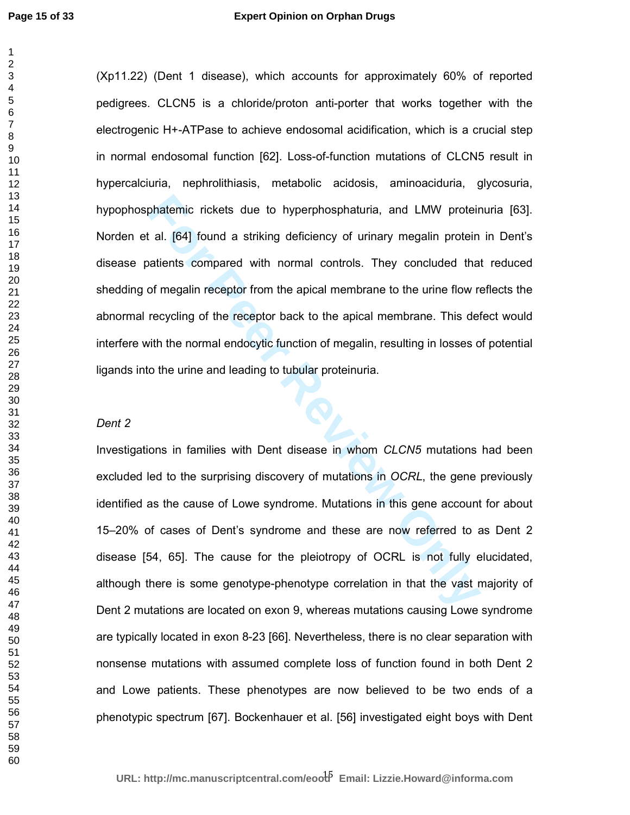phatemic rickets due to hyperphosphaturia, and LMW proteint al. [64] found a striking deficiency of urinary megalin protein atients compared with normal controls. They concluded that of megalin receptor from the apical mem (Xp11.22) (Dent 1 disease), which accounts for approximately 60% of reported pedigrees. CLCN5 is a chloride/proton anti-porter that works together with the electrogenic H+-ATPase to achieve endosomal acidification, which is a crucial step in normal endosomal function [62]. Loss-of-function mutations of CLCN5 result in hypercalciuria, nephrolithiasis, metabolic acidosis, aminoaciduria, glycosuria, hypophosphatemic rickets due to hyperphosphaturia, and LMW proteinuria [63]. Norden et al. [64] found a striking deficiency of urinary megalin protein in Dent's disease patients compared with normal controls. They concluded that reduced shedding of megalin receptor from the apical membrane to the urine flow reflects the abnormal recycling of the receptor back to the apical membrane. This defect would interfere with the normal endocytic function of megalin, resulting in losses of potential ligands into the urine and leading to tubular proteinuria.

## *Dent 2*

Investigations in families with Dent disease in whom *CLCN5* mutations had been excluded led to the surprising discovery of mutations in *OCRL*, the gene previously identified as the cause of Lowe syndrome. Mutations in this gene account for about 15–20% of cases of Dent's syndrome and these are now referred to as Dent 2 disease [54, 65]. The cause for the pleiotropy of OCRL is not fully elucidated, although there is some genotype-phenotype correlation in that the vast majority of Dent 2 mutations are located on exon 9, whereas mutations causing Lowe syndrome are typically located in exon 8-23 [66]. Nevertheless, there is no clear separation with nonsense mutations with assumed complete loss of function found in both Dent 2 and Lowe patients. These phenotypes are now believed to be two ends of a phenotypic spectrum [67]. Bockenhauer et al. [56] investigated eight boys with Dent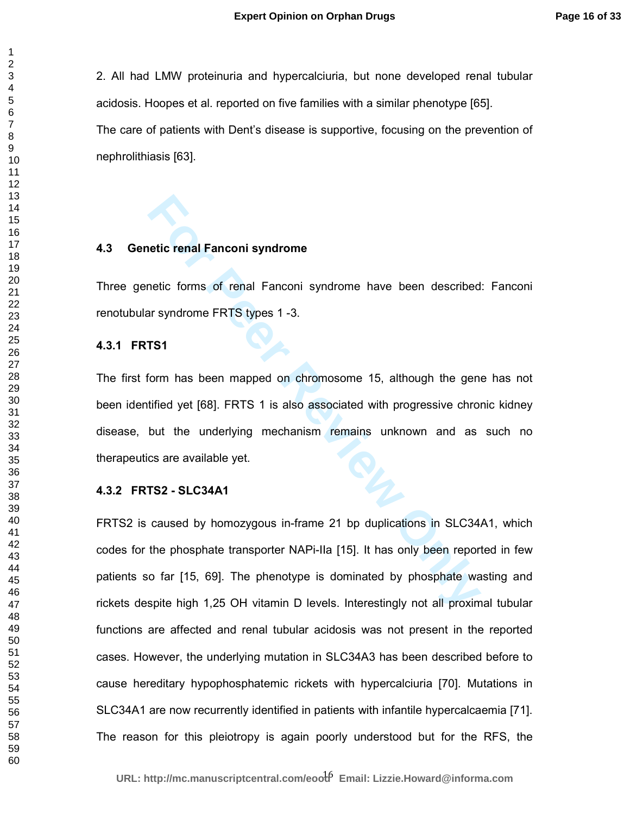2. All had LMW proteinuria and hypercalciuria, but none developed renal tubular acidosis. Hoopes et al. reported on five families with a similar phenotype [65]. The care of patients with Dent's disease is supportive, focusing on the prevention of nephrolithiasis [63].

## **4.3 Genetic renal Fanconi syndrome**

Three genetic forms of renal Fanconi syndrome have been described: Fanconi renotubular syndrome FRTS types 1 -3.

## **4.3.1 FRTS1**

The first form has been mapped on chromosome 15, although the gene has not been identified yet [68]. FRTS 1 is also associated with progressive chronic kidney disease, but the underlying mechanism remains unknown and as such no therapeutics are available yet.

#### **4.3.2 FRTS2 - SLC34A1**

**Formal Fanconi syndrome**<br> **Formal Fanconi syndrome** have been described<br> **Formal Fanconi syndrome** have been described<br> **Formal Fanconi Syndrome** have been described<br> **Formal Fanconi Algonal Figure 15.**<br> **Formal Fanconi S** FRTS2 is caused by homozygous in-frame 21 bp duplications in SLC34A1, which codes for the phosphate transporter NAPi-IIa [15]. It has only been reported in few patients so far [15, 69]. The phenotype is dominated by phosphate wasting and rickets despite high 1,25 OH vitamin D levels. Interestingly not all proximal tubular functions are affected and renal tubular acidosis was not present in the reported cases. However, the underlying mutation in SLC34A3 has been described before to cause hereditary hypophosphatemic rickets with hypercalciuria [70]. Mutations in SLC34A1 are now recurrently identified in patients with infantile hypercalcaemia [71]. The reason for this pleiotropy is again poorly understood but for the RFS, the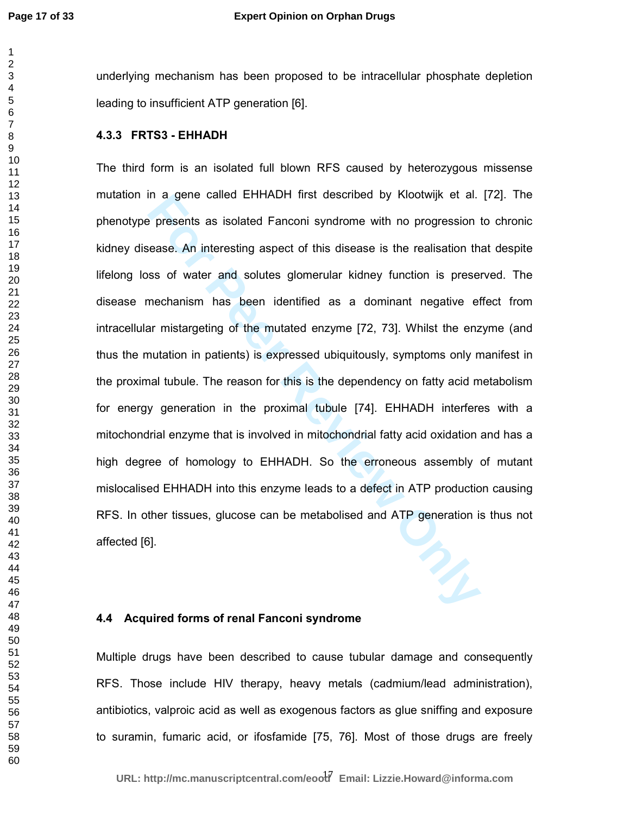underlying mechanism has been proposed to be intracellular phosphate depletion leading to insufficient ATP generation [6].

## **4.3.3 FRTS3 - EHHADH**

In a gene called EHHADH first described by Kloowijk et al.<br>
Presents as isolated Fanconi syndrome with no progression thease. An interesting aspect of this disease is the realisation these of water and solutes glomerular k The third form is an isolated full blown RFS caused by heterozygous missense mutation in a gene called EHHADH first described by Klootwijk et al. [72]. The phenotype presents as isolated Fanconi syndrome with no progression to chronic kidney disease. An interesting aspect of this disease is the realisation that despite lifelong loss of water and solutes glomerular kidney function is preserved. The disease mechanism has been identified as a dominant negative effect from intracellular mistargeting of the mutated enzyme [72, 73]. Whilst the enzyme (and thus the mutation in patients) is expressed ubiquitously, symptoms only manifest in the proximal tubule. The reason for this is the dependency on fatty acid metabolism for energy generation in the proximal tubule [74]. EHHADH interferes with a mitochondrial enzyme that is involved in mitochondrial fatty acid oxidation and has a high degree of homology to EHHADH. So the erroneous assembly of mutant mislocalised EHHADH into this enzyme leads to a defect in ATP production causing RFS. In other tissues, glucose can be metabolised and ATP generation is thus not affected [6].

## **4.4 Acquired forms of renal Fanconi syndrome**

Multiple drugs have been described to cause tubular damage and consequently RFS. Those include HIV therapy, heavy metals (cadmium/lead administration), antibiotics, valproic acid as well as exogenous factors as glue sniffing and exposure to suramin, fumaric acid, or ifosfamide [75, 76]. Most of those drugs are freely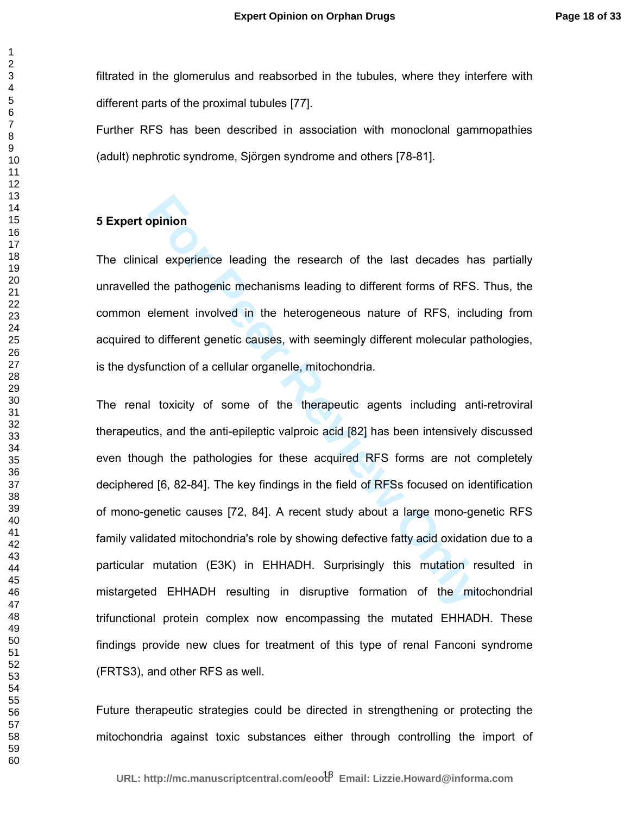filtrated in the glomerulus and reabsorbed in the tubules, where they interfere with different parts of the proximal tubules [77].

Further RFS has been described in association with monoclonal gammopathies (adult) nephrotic syndrome, Sjörgen syndrome and others [78-81].

## **5 Expert opinion**

The clinical experience leading the research of the last decades has partially unravelled the pathogenic mechanisms leading to different forms of RFS. Thus, the common element involved in the heterogeneous nature of RFS, including from acquired to different genetic causes, with seemingly different molecular pathologies, is the dysfunction of a cellular organelle, mitochondria.

**Formal Example 10** and the pathogenic mechanisms leading to different forms of RFS.<br> **Formal Example 10** and the heterogeneous nature of RFS, included in the heterogeneous nature of RFS, included of different molecular pa The renal toxicity of some of the therapeutic agents including anti-retroviral therapeutics, and the anti-epileptic valproic acid [82] has been intensively discussed even though the pathologies for these acquired RFS forms are not completely deciphered [6, 82-84]. The key findings in the field of RFSs focused on identification of mono-genetic causes [72, 84]. A recent study about a large mono-genetic RFS family validated mitochondria's role by showing defective fatty acid oxidation due to a particular mutation (E3K) in EHHADH. Surprisingly this mutation resulted in mistargeted EHHADH resulting in disruptive formation of the mitochondrial trifunctional protein complex now encompassing the mutated EHHADH. These findings provide new clues for treatment of this type of renal Fanconi syndrome (FRTS3), and other RFS as well.

Future therapeutic strategies could be directed in strengthening or protecting the mitochondria against toxic substances either through controlling the import of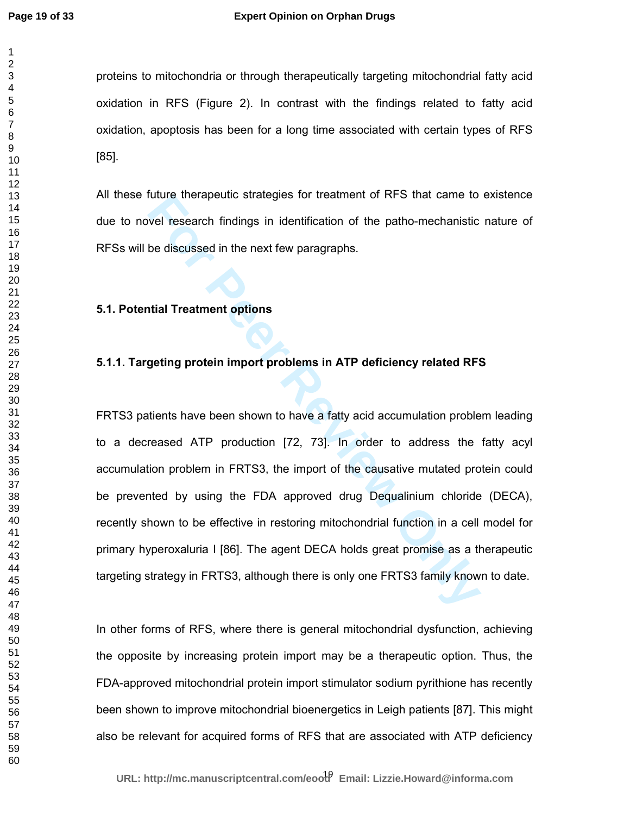proteins to mitochondria or through therapeutically targeting mitochondrial fatty acid oxidation in RFS (Figure 2). In contrast with the findings related to fatty acid oxidation, apoptosis has been for a long time associated with certain types of RFS [85].

All these future therapeutic strategies for treatment of RFS that came to existence due to novel research findings in identification of the patho-mechanistic nature of RFSs will be discussed in the next few paragraphs.

### **5.1. Potential Treatment options**

## **5.1.1. Targeting protein import problems in ATP deficiency related RFS**

Interaction of the patho-mechanistic<br>well research findings in identification of the patho-mechanistic<br>be discussed in the next few paragraphs.<br>**For Peer Review Only and The Peer Review Only and The Peer Review of Peer Rev** FRTS3 patients have been shown to have a fatty acid accumulation problem leading to a decreased ATP production [72, 73]. In order to address the fatty acyl accumulation problem in FRTS3, the import of the causative mutated protein could be prevented by using the FDA approved drug Dequalinium chloride (DECA), recently shown to be effective in restoring mitochondrial function in a cell model for primary hyperoxaluria I [86]. The agent DECA holds great promise as a therapeutic targeting strategy in FRTS3, although there is only one FRTS3 family known to date.

In other forms of RFS, where there is general mitochondrial dysfunction, achieving the opposite by increasing protein import may be a therapeutic option. Thus, the FDA-approved mitochondrial protein import stimulator sodium pyrithione has recently been shown to improve mitochondrial bioenergetics in Leigh patients [87]. This might also be relevant for acquired forms of RFS that are associated with ATP deficiency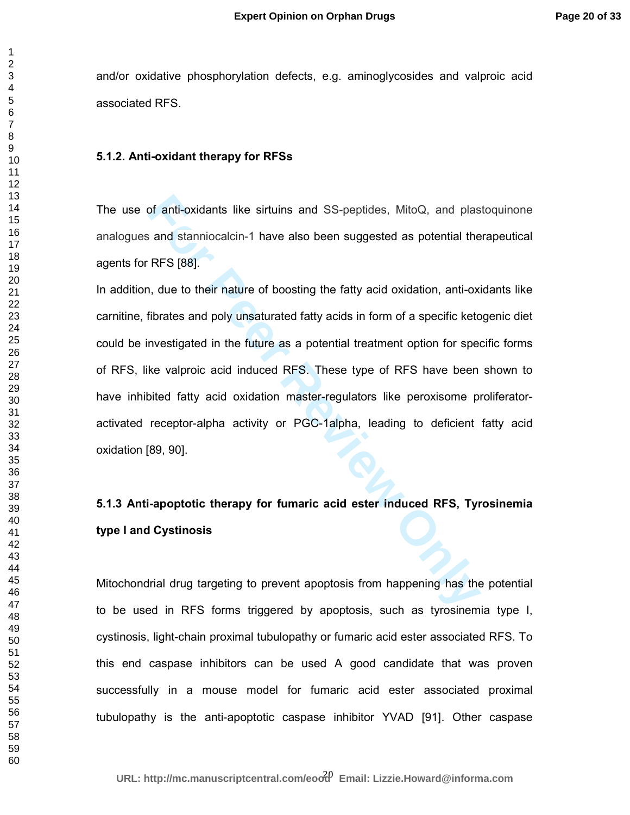and/or oxidative phosphorylation defects, e.g. aminoglycosides and valproic acid associated RFS.

#### **5.1.2. Anti-oxidant therapy for RFSs**

The use of anti-oxidants like sirtuins and SS-peptides, MitoQ, and plastoquinone analogues and stanniocalcin-1 have also been suggested as potential therapeutical agents for RFS [88].

of anti-oxidants like sirtuins and SS-peptides, MitoQ, and plas<br>and stanniocalcin-1 have also been suggested as potential the<br>RFS [88].<br>In, due to their nature of boosting the fatty acid oxidation, anti-oxi<br>fibrates and po In addition, due to their nature of boosting the fatty acid oxidation, anti-oxidants like carnitine, fibrates and poly unsaturated fatty acids in form of a specific ketogenic diet could be investigated in the future as a potential treatment option for specific forms of RFS, like valproic acid induced RFS. These type of RFS have been shown to have inhibited fatty acid oxidation master-regulators like peroxisome proliferatoractivated receptor-alpha activity or PGC-1alpha, leading to deficient fatty acid oxidation [89, 90].

## **5.1.3 Anti-apoptotic therapy for fumaric acid ester induced RFS, Tyrosinemia type I and Cystinosis**

Mitochondrial drug targeting to prevent apoptosis from happening has the potential to be used in RFS forms triggered by apoptosis, such as tyrosinemia type I, cystinosis, light-chain proximal tubulopathy or fumaric acid ester associated RFS. To this end caspase inhibitors can be used A good candidate that was proven successfully in a mouse model for fumaric acid ester associated proximal tubulopathy is the anti-apoptotic caspase inhibitor YVAD [91]. Other caspase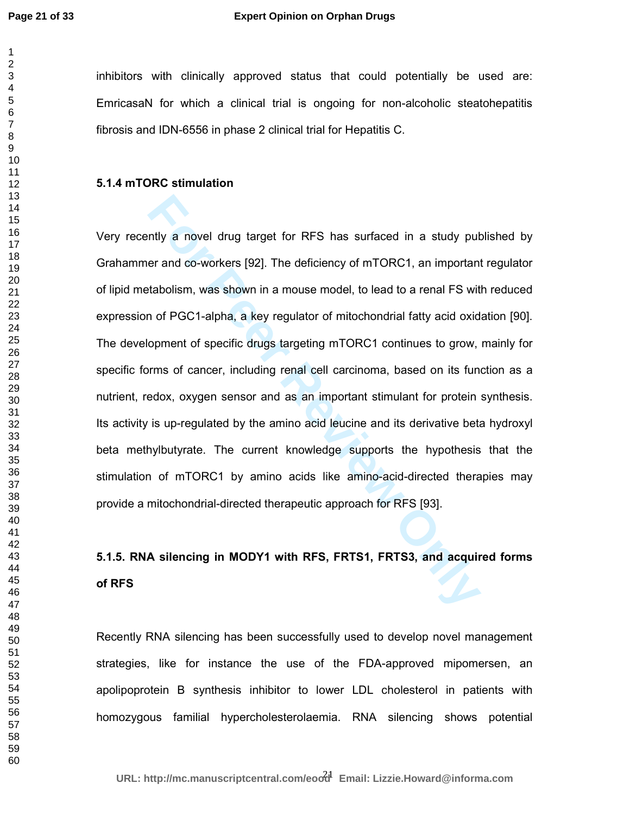inhibitors with clinically approved status that could potentially be used are: EmricasaN for which a clinical trial is ongoing for non-alcoholic steatohepatitis fibrosis and IDN-6556 in phase 2 clinical trial for Hepatitis C.

## **5.1.4 mTORC stimulation**

ntly a novel drug target for RFS has surfaced in a study put<br>er and co-workers [92]. The deficiency of mTORC1, an important<br>tabolism, was shown in a mouse model, to lead to a renal FS wit<br>n of PGC1-alpha, a key regulator o Very recently a novel drug target for RFS has surfaced in a study published by Grahammer and co-workers [92]. The deficiency of mTORC1, an important regulator of lipid metabolism, was shown in a mouse model, to lead to a renal FS with reduced expression of PGC1-alpha, a key regulator of mitochondrial fatty acid oxidation [90]. The development of specific drugs targeting mTORC1 continues to grow, mainly for specific forms of cancer, including renal cell carcinoma, based on its function as a nutrient, redox, oxygen sensor and as an important stimulant for protein synthesis. Its activity is up-regulated by the amino acid leucine and its derivative beta hydroxyl beta methylbutyrate. The current knowledge supports the hypothesis that the stimulation of mTORC1 by amino acids like amino-acid-directed therapies may provide a mitochondrial-directed therapeutic approach for RFS [93].

# **5.1.5. RNA silencing in MODY1 with RFS, FRTS1, FRTS3, and acquired forms of RFS**

Recently RNA silencing has been successfully used to develop novel management strategies, like for instance the use of the FDA-approved mipomersen, an apolipoprotein B synthesis inhibitor to lower LDL cholesterol in patients with homozygous familial hypercholesterolaemia. RNA silencing shows potential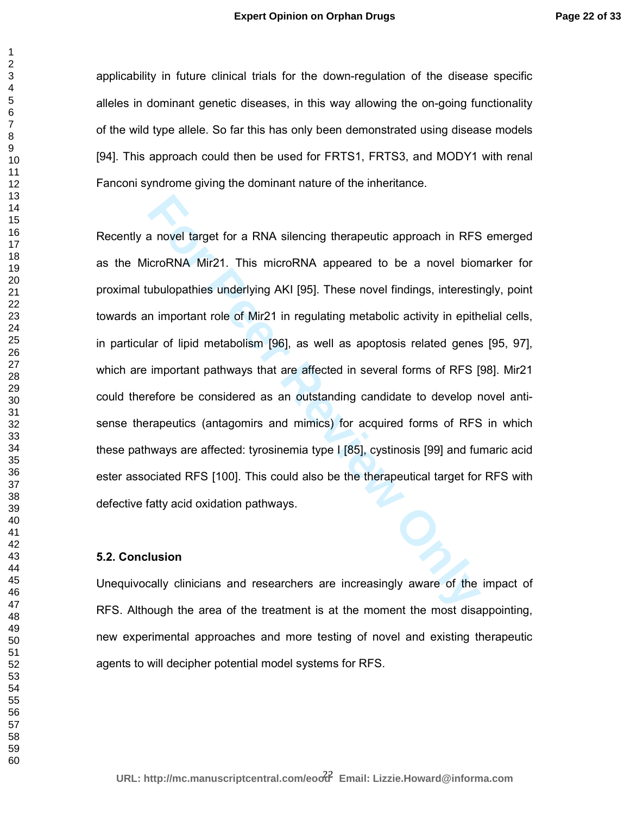applicability in future clinical trials for the down-regulation of the disease specific alleles in dominant genetic diseases, in this way allowing the on-going functionality of the wild type allele. So far this has only been demonstrated using disease models [94]. This approach could then be used for FRTS1, FRTS3, and MODY1 with renal Fanconi syndrome giving the dominant nature of the inheritance.

a novel target for a RNA silencing therapeutic approach in RFS<br>icroRNA Mir21. This microRNA appeared to be a novel bion<br>ubulopathies underlying AKI [95]. These novel findings, interestin<br>n important role of Mir21 in regula Recently a novel target for a RNA silencing therapeutic approach in RFS emerged as the MicroRNA Mir21. This microRNA appeared to be a novel biomarker for proximal tubulopathies underlying AKI [95]. These novel findings, interestingly, point towards an important role of Mir21 in regulating metabolic activity in epithelial cells, in particular of lipid metabolism [96], as well as apoptosis related genes [95, 97], which are important pathways that are affected in several forms of RFS [98]. Mir21 could therefore be considered as an outstanding candidate to develop novel antisense therapeutics (antagomirs and mimics) for acquired forms of RFS in which these pathways are affected: tyrosinemia type I [85], cystinosis [99] and fumaric acid ester associated RFS [100]. This could also be the therapeutical target for RFS with defective fatty acid oxidation pathways.

#### **5.2. Conclusion**

Unequivocally clinicians and researchers are increasingly aware of the impact of RFS. Although the area of the treatment is at the moment the most disappointing, new experimental approaches and more testing of novel and existing therapeutic agents to will decipher potential model systems for RFS.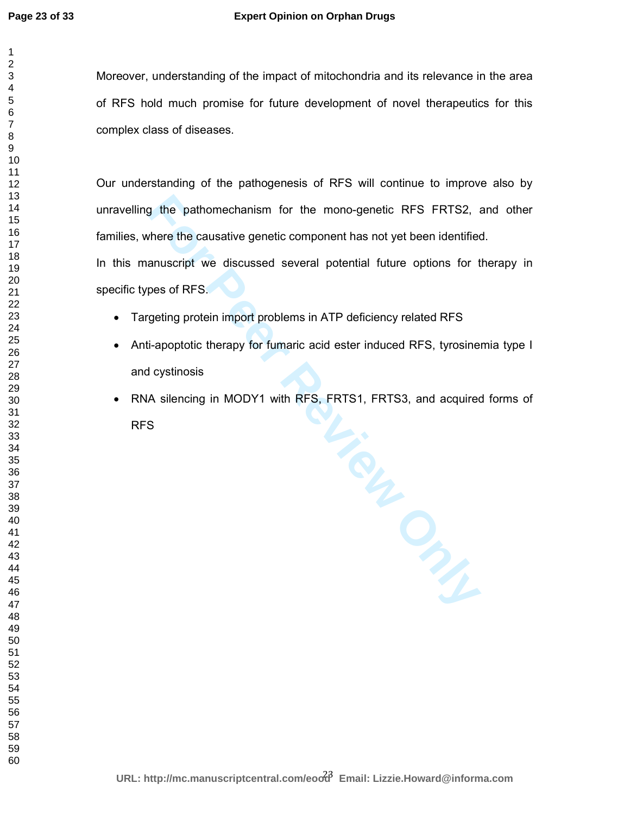## **Expert Opinion on Orphan Drugs**

Moreover, understanding of the impact of mitochondria and its relevance in the area of RFS hold much promise for future development of novel therapeutics for this complex class of diseases.

Our understanding of the pathogenesis of RFS will continue to improve also by unravelling the pathomechanism for the mono-genetic RFS FRTS2, and other families, where the causative genetic component has not yet been identified.

In this manuscript we discussed several potential future options for therapy in specific types of RFS.

- Targeting protein import problems in ATP deficiency related RFS
- Anti-apoptotic therapy for fumaric acid ester induced RFS, tyrosinemia type I and cystinosis
- RNA silencing in MODY1 with RFS, FRTS1, FRTS3, and acquired forms of RFS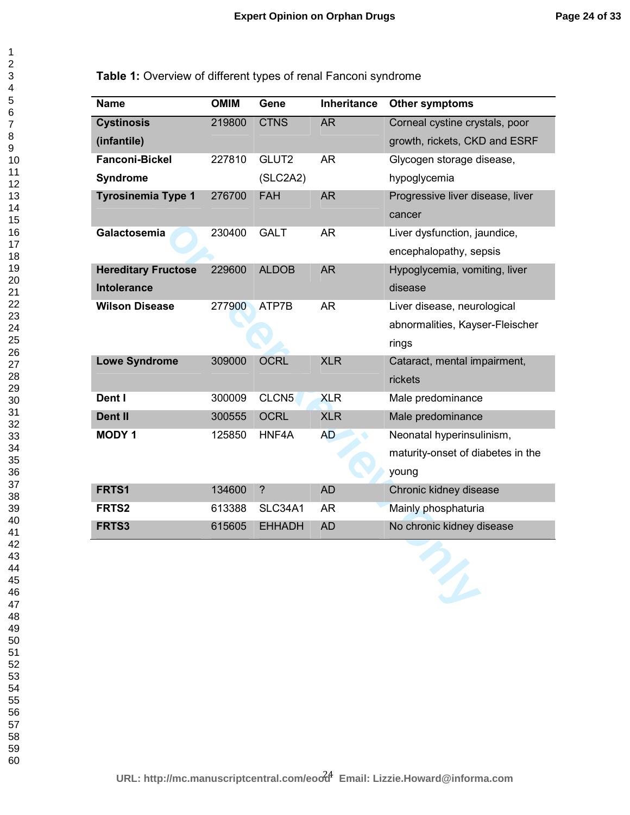**Table 1:** Overview of different types of renal Fanconi syndrome

| <b>Name</b>                | <b>OMIM</b> | Gene                     | <b>Inheritance</b> | <b>Other symptoms</b>                                  |
|----------------------------|-------------|--------------------------|--------------------|--------------------------------------------------------|
| <b>Cystinosis</b>          | 219800      | <b>CTNS</b>              | <b>AR</b>          | Corneal cystine crystals, poor                         |
| (infantile)                |             |                          |                    | growth, rickets, CKD and ESRF                          |
| <b>Fanconi-Bickel</b>      | 227810      | GLUT2                    | <b>AR</b>          | Glycogen storage disease,                              |
| <b>Syndrome</b>            |             | (SLC2A2)                 |                    | hypoglycemia                                           |
| <b>Tyrosinemia Type 1</b>  | 276700      | <b>FAH</b>               | <b>AR</b>          | Progressive liver disease, liver<br>cancer             |
| Galactosemia               | 230400      | <b>GALT</b>              | <b>AR</b>          | Liver dysfunction, jaundice,<br>encephalopathy, sepsis |
| <b>Hereditary Fructose</b> | 229600      | <b>ALDOB</b>             | <b>AR</b>          | Hypoglycemia, vomiting, liver                          |
| Intolerance                |             |                          |                    | disease                                                |
| <b>Wilson Disease</b>      | 277900      | ATP7B                    | <b>AR</b>          | Liver disease, neurological                            |
|                            |             |                          |                    | abnormalities, Kayser-Fleischer                        |
|                            |             |                          |                    | rings                                                  |
| <b>Lowe Syndrome</b>       | 309000      | <b>OCRL</b>              | <b>XLR</b>         | Cataract, mental impairment,<br>rickets                |
| Dent I                     | 300009      | CLCN <sub>5</sub>        | <b>XLR</b>         | Male predominance                                      |
| <b>Dent II</b>             | 300555      | <b>OCRL</b>              | <b>XLR</b>         | Male predominance                                      |
| <b>MODY1</b>               | 125850      | HNF4A                    | <b>AD</b>          | Neonatal hyperinsulinism,                              |
|                            |             |                          |                    | maturity-onset of diabetes in the                      |
|                            |             |                          |                    | young                                                  |
| FRTS1                      | 134600      | $\overline{\phantom{0}}$ | <b>AD</b>          | Chronic kidney disease                                 |
| FRTS <sub>2</sub>          | 613388      | <b>SLC34A1</b>           | <b>AR</b>          | Mainly phosphaturia                                    |
| FRTS3                      | 615605      | <b>EHHADH</b>            | <b>AD</b>          | No chronic kidney disease                              |
|                            |             |                          |                    |                                                        |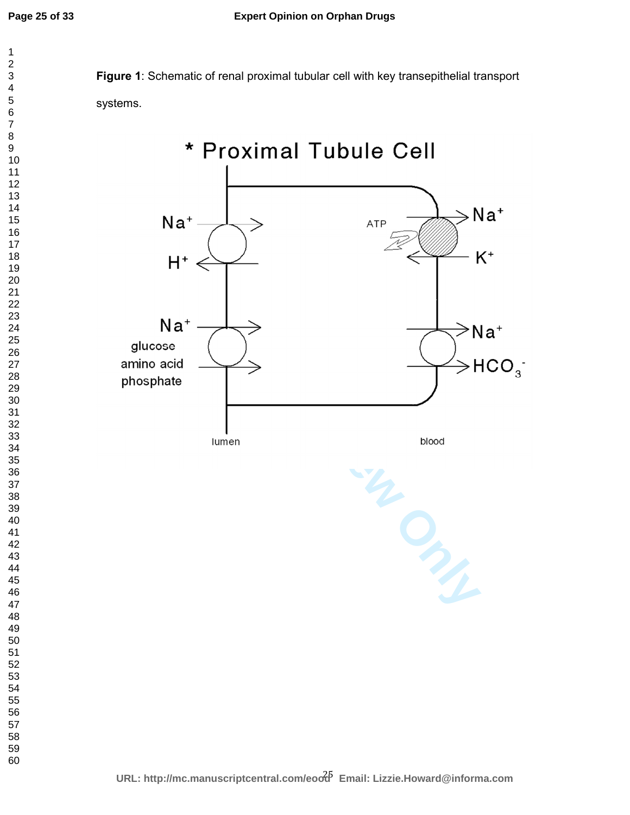

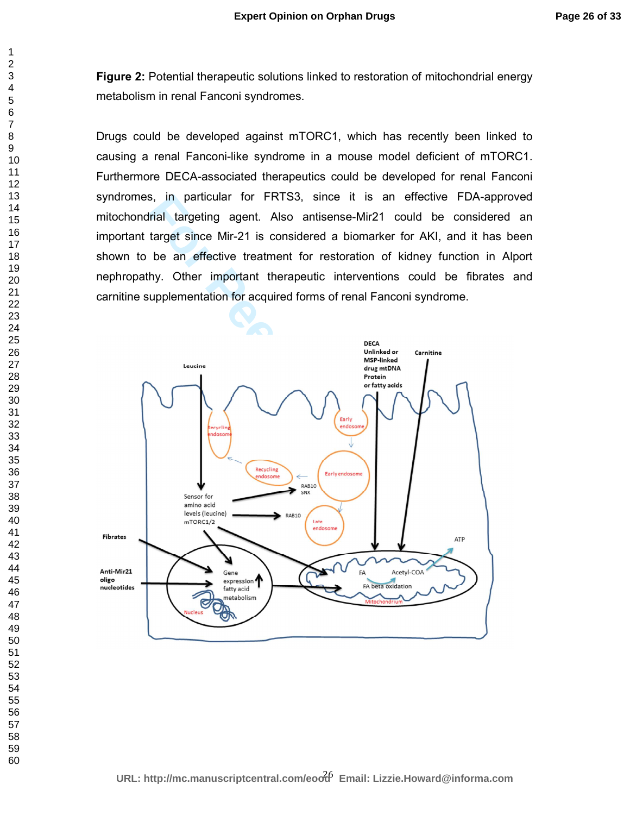**Figure 2:** Potential therapeutic solutions linked to restoration of mitochondrial energy metabolism in renal Fanconi syndromes.

Drugs could be developed against mTORC1, which has recently been linked to causing a renal Fanconi-like syndrome in a mouse model deficient of mTORC1. Furthermore DECA-associated therapeutics could be developed for renal Fanconi syndromes, in particular for FRTS3, since it is an effective FDA-approved mitochondrial targeting agent. Also antisense-Mir21 could be considered an important target since Mir-21 is considered a biomarker for AKI, and it has been shown to be an effective treatment for restoration of kidney function in Alport nephropathy. Other important therapeutic interventions could be fibrates and carnitine supplementation for acquired forms of renal Fanconi syndrome.

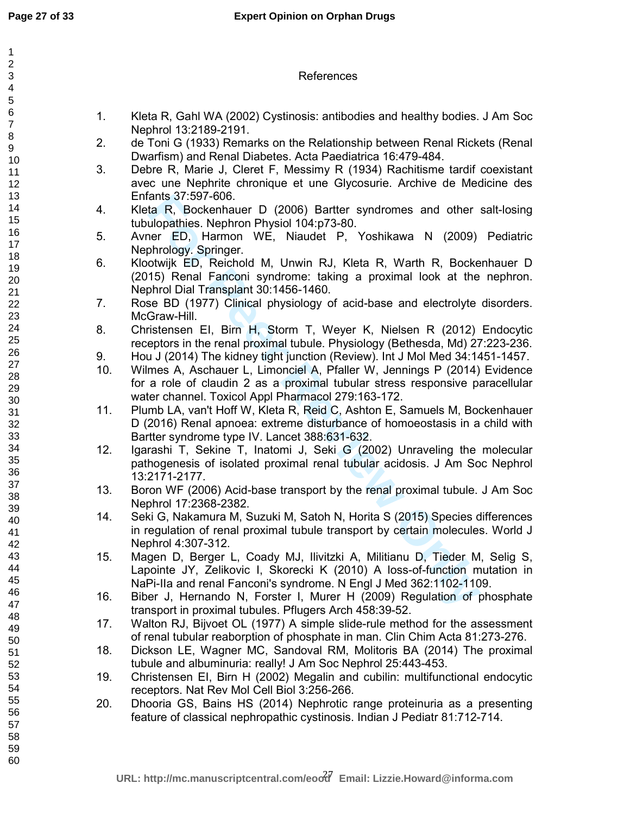|     | References                                                                                                                                                                                                                    |
|-----|-------------------------------------------------------------------------------------------------------------------------------------------------------------------------------------------------------------------------------|
| 1.  | Kleta R, Gahl WA (2002) Cystinosis: antibodies and healthy bodies. J Am Soc<br>Nephrol 13:2189-2191.                                                                                                                          |
| 2.  | de Toni G (1933) Remarks on the Relationship between Renal Rickets (Renal<br>Dwarfism) and Renal Diabetes. Acta Paediatrica 16:479-484.                                                                                       |
| 3.  | Debre R, Marie J, Cleret F, Messimy R (1934) Rachitisme tardif coexistant<br>avec une Nephrite chronique et une Glycosurie. Archive de Medicine des<br>Enfants 37:597-606.                                                    |
| 4.  | Kleta R, Bockenhauer D (2006) Bartter syndromes and other salt-losing<br>tubulopathies. Nephron Physiol 104:p73-80.                                                                                                           |
| 5.  | Avner ED, Harmon WE, Niaudet P, Yoshikawa N (2009) Pediatric<br>Nephrology. Springer.                                                                                                                                         |
| 6.  | Klootwijk ED, Reichold M, Unwin RJ, Kleta R, Warth R, Bockenhauer D<br>(2015) Renal Fanconi syndrome: taking a proximal look at the nephron.<br>Nephrol Dial Transplant 30:1456-1460.                                         |
| 7.  | Rose BD (1977) Clinical physiology of acid-base and electrolyte disorders.<br>McGraw-Hill.                                                                                                                                    |
| 8.  | Christensen EI, Birn H, Storm T, Weyer K, Nielsen R (2012) Endocytic<br>receptors in the renal proximal tubule. Physiology (Bethesda, Md) 27:223-236.                                                                         |
| 9.  | Hou J (2014) The kidney tight junction (Review). Int J Mol Med 34:1451-1457.                                                                                                                                                  |
| 10. | Wilmes A, Aschauer L, Limonciel A, Pfaller W, Jennings P (2014) Evidence                                                                                                                                                      |
|     | for a role of claudin 2 as a proximal tubular stress responsive paracellular<br>water channel. Toxicol Appl Pharmacol 279:163-172.                                                                                            |
| 11. | Plumb LA, van't Hoff W, Kleta R, Reid C, Ashton E, Samuels M, Bockenhauer<br>D (2016) Renal apnoea: extreme disturbance of homoeostasis in a child with<br>Bartter syndrome type IV. Lancet 388:631-632.                      |
| 12. | Igarashi T, Sekine T, Inatomi J, Seki G (2002) Unraveling the molecular<br>pathogenesis of isolated proximal renal tubular acidosis. J Am Soc Nephrol<br>13:2171-2177.                                                        |
| 13. | Boron WF (2006) Acid-base transport by the renal proximal tubule. J Am Soc<br>Nephrol 17:2368-2382.                                                                                                                           |
| 14. | Seki G, Nakamura M, Suzuki M, Satoh N, Horita S (2015) Species differences<br>in regulation of renal proximal tubule transport by certain molecules. World J<br>Nephrol 4:307-312.                                            |
| 15. | Magen D, Berger L, Coady MJ, Ilivitzki A, Militianu D, Tieder M, Selig S,<br>Lapointe JY, Zelikovic I, Skorecki K (2010) A loss-of-function mutation in<br>NaPi-IIa and renal Fanconi's syndrome. N Engl J Med 362:1102-1109. |
| 16. | Biber J, Hernando N, Forster I, Murer H (2009) Regulation of phosphate<br>transport in proximal tubules. Pflugers Arch 458:39-52.                                                                                             |
| 17. | Walton RJ, Bijvoet OL (1977) A simple slide-rule method for the assessment<br>of renal tubular reaborption of phosphate in man. Clin Chim Acta 81:273-276.                                                                    |
| 18. | Dickson LE, Wagner MC, Sandoval RM, Molitoris BA (2014) The proximal<br>tubule and albuminuria: really! J Am Soc Nephrol 25:443-453.                                                                                          |
| 19. | Christensen EI, Birn H (2002) Megalin and cubilin: multifunctional endocytic<br>receptors. Nat Rev Mol Cell Biol 3:256-266.                                                                                                   |
| 20. | Dhooria GS, Bains HS (2014) Nephrotic range proteinuria as a presenting<br>feature of classical nephropathic cystinosis. Indian J Pediatr 81:712-714.                                                                         |
|     |                                                                                                                                                                                                                               |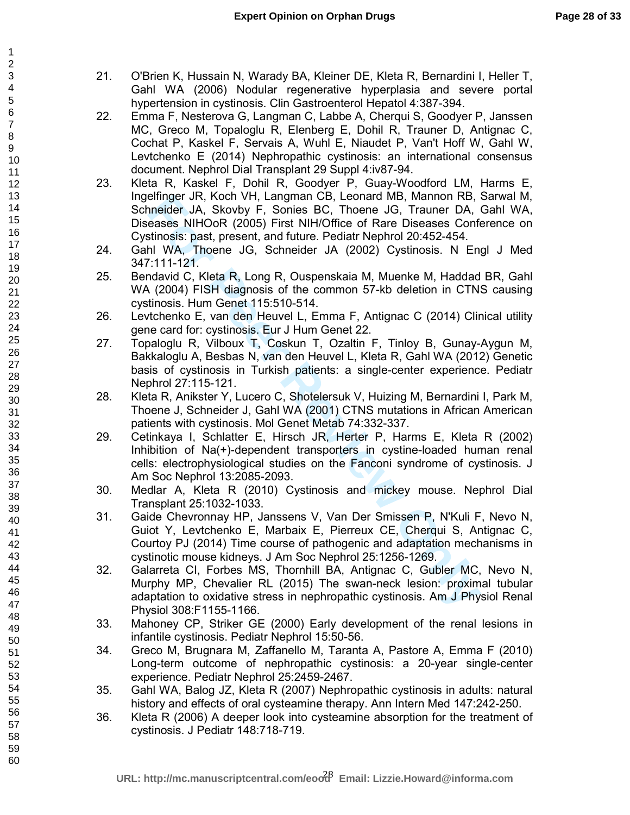- 21. O'Brien K, Hussain N, Warady BA, Kleiner DE, Kleta R, Bernardini I, Heller T, Gahl WA (2006) Nodular regenerative hyperplasia and severe portal hypertension in cystinosis. Clin Gastroenterol Hepatol 4:387-394.
- 22. Emma F, Nesterova G, Langman C, Labbe A, Cherqui S, Goodyer P, Janssen MC, Greco M, Topaloglu R, Elenberg E, Dohil R, Trauner D, Antignac C, Cochat P, Kaskel F, Servais A, Wuhl E, Niaudet P, Van't Hoff W, Gahl W, Levtchenko E (2014) Nephropathic cystinosis: an international consensus document. Nephrol Dial Transplant 29 Suppl 4:iv87-94.
- 23. Kleta R, Kaskel F, Dohil R, Goodyer P, Guay-Woodford LM, Harms E, Ingelfinger JR, Koch VH, Langman CB, Leonard MB, Mannon RB, Sarwal M, Schneider JA, Skovby F, Sonies BC, Thoene JG, Trauner DA, Gahl WA, Diseases NIHOoR (2005) First NIH/Office of Rare Diseases Conference on Cystinosis: past, present, and future. Pediatr Nephrol 20:452-454.
- 24. Gahl WA, Thoene JG, Schneider JA (2002) Cystinosis. N Engl J Med 347:111-121.
- 25. Bendavid C, Kleta R, Long R, Ouspenskaia M, Muenke M, Haddad BR, Gahl WA (2004) FISH diagnosis of the common 57-kb deletion in CTNS causing cystinosis. Hum Genet 115:510-514.
- 26. Levtchenko E, van den Heuvel L, Emma F, Antignac C (2014) Clinical utility gene card for: cystinosis. Eur J Hum Genet 22.
- 27. Topaloglu R, Vilboux T, Coskun T, Ozaltin F, Tinloy B, Gunay-Aygun M, Bakkaloglu A, Besbas N, van den Heuvel L, Kleta R, Gahl WA (2012) Genetic basis of cystinosis in Turkish patients: a single-center experience. Pediatr Nephrol 27:115-121.
- 28. Kleta R, Anikster Y, Lucero C, Shotelersuk V, Huizing M, Bernardini I, Park M, Thoene J, Schneider J, Gahl WA (2001) CTNS mutations in African American patients with cystinosis. Mol Genet Metab 74:332-337.
- elinger JR, Kocon VH, Langman CB, Leonard MB, Mannon KB, Internation CB, Trauner DA, tenses SNHOoR (2005) First NIH/Office of Rare Diseases Confridess: past, present, and future. Pediatr Nephrol 20:452-454.<br>Inlinesis: past 29. Cetinkaya I, Schlatter E, Hirsch JR, Herter P, Harms E, Kleta R (2002) Inhibition of Na(+)-dependent transporters in cystine-loaded human renal cells: electrophysiological studies on the Fanconi syndrome of cystinosis. J Am Soc Nephrol 13:2085-2093.
- 30. Medlar A, Kleta R (2010) Cystinosis and mickey mouse. Nephrol Dial Transplant 25:1032-1033.
- 31. Gaide Chevronnay HP, Janssens V, Van Der Smissen P, N'Kuli F, Nevo N, Guiot Y, Levtchenko E, Marbaix E, Pierreux CE, Cherqui S, Antignac C, Courtoy PJ (2014) Time course of pathogenic and adaptation mechanisms in cystinotic mouse kidneys. J Am Soc Nephrol 25:1256-1269.
- 32. Galarreta CI, Forbes MS, Thornhill BA, Antignac C, Gubler MC, Nevo N, Murphy MP, Chevalier RL (2015) The swan-neck lesion: proximal tubular adaptation to oxidative stress in nephropathic cystinosis. Am J Physiol Renal Physiol 308:F1155-1166.
- 33. Mahoney CP, Striker GE (2000) Early development of the renal lesions in infantile cystinosis. Pediatr Nephrol 15:50-56.
- 34. Greco M, Brugnara M, Zaffanello M, Taranta A, Pastore A, Emma F (2010) Long-term outcome of nephropathic cystinosis: a 20-year single-center experience. Pediatr Nephrol 25:2459-2467.
- 35. Gahl WA, Balog JZ, Kleta R (2007) Nephropathic cystinosis in adults: natural history and effects of oral cysteamine therapy. Ann Intern Med 147:242-250.
- 36. Kleta R (2006) A deeper look into cysteamine absorption for the treatment of cystinosis. J Pediatr 148:718-719.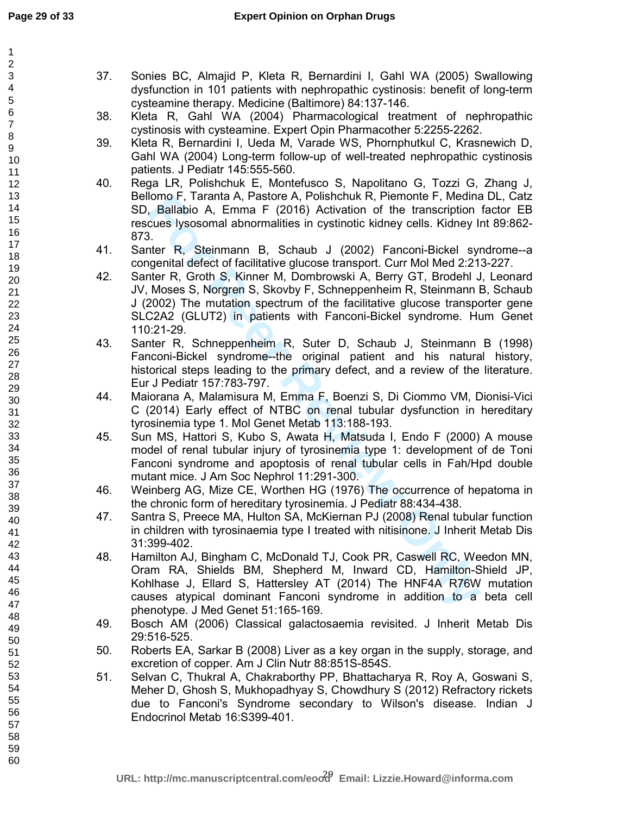| $\mathbf{1}$                                         |     |                                                                                   |
|------------------------------------------------------|-----|-----------------------------------------------------------------------------------|
| $\overline{\mathbf{c}}$<br>$\ensuremath{\mathsf{3}}$ | 37. | Sonies BC, Almajid P, Kleta R, Bernardini I, Gahl WA (2005) Swallowing            |
| $\overline{\mathbf{4}}$                              |     | dysfunction in 101 patients with nephropathic cystinosis: benefit of long-term    |
| 5                                                    |     | cysteamine therapy. Medicine (Baltimore) 84:137-146.                              |
| $\,6$                                                | 38. | Kleta R, Gahl WA (2004) Pharmacological treatment of nephropathic                 |
| $\overline{7}$                                       |     | cystinosis with cysteamine. Expert Opin Pharmacother 5:2255-2262.                 |
| 8                                                    | 39. | Kleta R, Bernardini I, Ueda M, Varade WS, Phornphutkul C, Krasnewich D,           |
| 9                                                    |     |                                                                                   |
| 10                                                   |     | Gahl WA (2004) Long-term follow-up of well-treated nephropathic cystinosis        |
| 11                                                   |     | patients. J Pediatr 145:555-560.                                                  |
| 12                                                   | 40. | Rega LR, Polishchuk E, Montefusco S, Napolitano G, Tozzi G, Zhang J,              |
| 13                                                   |     | Bellomo F, Taranta A, Pastore A, Polishchuk R, Piemonte F, Medina DL, Catz        |
| 14<br>15                                             |     | SD, Ballabio A, Emma F (2016) Activation of the transcription factor EB           |
| 16                                                   |     | rescues lysosomal abnormalities in cystinotic kidney cells. Kidney Int 89:862-    |
| 17                                                   |     | 873.                                                                              |
| 18                                                   | 41. | Santer R, Steinmann B, Schaub J (2002) Fanconi-Bickel syndrome--a                 |
| 19                                                   |     | congenital defect of facilitative glucose transport. Curr Mol Med 2:213-227.      |
| 20                                                   | 42. | Santer R, Groth S, Kinner M, Dombrowski A, Berry GT, Brodehl J, Leonard           |
| 21                                                   |     | JV, Moses S, Norgren S, Skovby F, Schneppenheim R, Steinmann B, Schaub            |
| 22                                                   |     | J (2002) The mutation spectrum of the facilitative glucose transporter gene       |
| 23                                                   |     | SLC2A2 (GLUT2) in patients with Fanconi-Bickel syndrome. Hum Genet                |
| 24                                                   |     | 110:21-29.                                                                        |
| 25                                                   | 43. | Santer R, Schneppenheim R, Suter D, Schaub J, Steinmann B (1998)                  |
| 26                                                   |     | Fanconi-Bickel syndrome--the original patient and his natural history,            |
| 27<br>28                                             |     | historical steps leading to the primary defect, and a review of the literature.   |
| 29                                                   |     | Eur J Pediatr 157:783-797.                                                        |
| 30                                                   | 44. | Maiorana A, Malamisura M, Emma F, Boenzi S, Di Ciommo VM, Dionisi-Vici            |
| 31                                                   |     | C (2014) Early effect of NTBC on renal tubular dysfunction in hereditary          |
| 32                                                   |     | tyrosinemia type 1. Mol Genet Metab 113:188-193.                                  |
| 33                                                   | 45. | Sun MS, Hattori S, Kubo S, Awata H, Matsuda I, Endo F (2000) A mouse              |
| 34                                                   |     | model of renal tubular injury of tyrosinemia type 1: development of de Toni       |
| 35                                                   |     | Fanconi syndrome and apoptosis of renal tubular cells in Fah/Hpd double           |
| 36                                                   |     | mutant mice. J Am Soc Nephrol 11:291-300.                                         |
| 37                                                   | 46. | Weinberg AG, Mize CE, Worthen HG (1976) The occurrence of hepatoma in             |
| 38                                                   |     | the chronic form of hereditary tyrosinemia. J Pediatr 88:434-438.                 |
| 39                                                   | 47. | Santra S, Preece MA, Hulton SA, McKiernan PJ (2008) Renal tubular function        |
| 40<br>41                                             |     | in children with tyrosinaemia type I treated with nitisinone. J Inherit Metab Dis |
| 42                                                   |     | 31:399-402.                                                                       |
| 43                                                   | 48. | Hamilton AJ, Bingham C, McDonald TJ, Cook PR, Caswell RC, Weedon MN,              |
| 44                                                   |     | Oram RA, Shields BM, Shepherd M, Inward CD, Hamilton-Shield JP,                   |
| 45                                                   |     | Kohlhase J, Ellard S, Hattersley AT (2014) The HNF4A R76W mutation                |
| 46                                                   |     | causes atypical dominant Fanconi syndrome in addition to a beta cell              |
| 47                                                   |     | phenotype. J Med Genet 51:165-169.                                                |
| 48                                                   | 49. | Bosch AM (2006) Classical galactosaemia revisited. J Inherit Metab Dis            |
| 49                                                   |     | 29:516-525.                                                                       |
| 50                                                   | 50. | Roberts EA, Sarkar B (2008) Liver as a key organ in the supply, storage, and      |
| 51<br>52                                             |     | excretion of copper. Am J Clin Nutr 88:851S-854S.                                 |
| 53                                                   | 51. | Selvan C, Thukral A, Chakraborthy PP, Bhattacharya R, Roy A, Goswani S,           |
| 54                                                   |     |                                                                                   |
| 55                                                   |     | Meher D, Ghosh S, Mukhopadhyay S, Chowdhury S (2012) Refractory rickets           |
| 56                                                   |     | due to Fanconi's Syndrome secondary to Wilson's disease. Indian J                 |
| 57                                                   |     | Endocrinol Metab 16:S399-401.                                                     |
| 58                                                   |     |                                                                                   |
| 59                                                   |     |                                                                                   |
| 60                                                   |     |                                                                                   |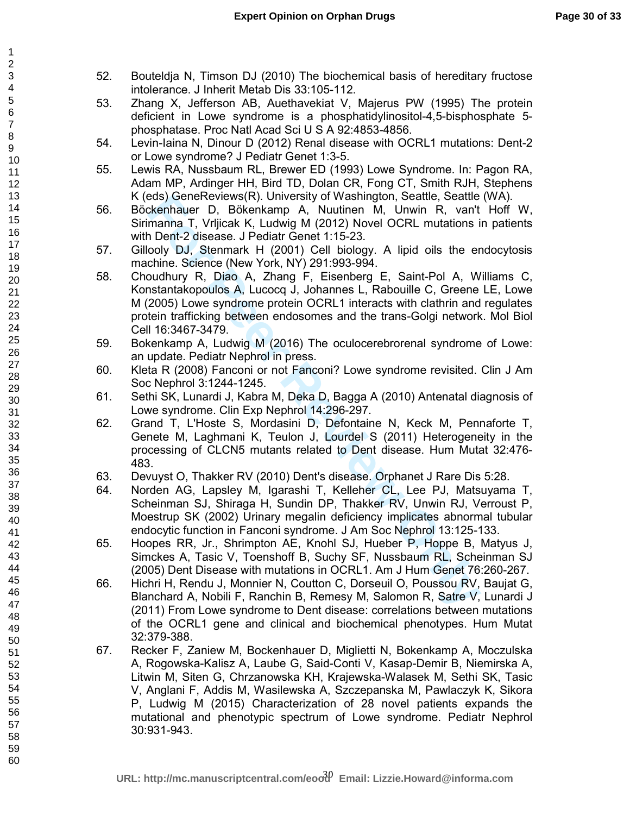- 52. Bouteldja N, Timson DJ (2010) The biochemical basis of hereditary fructose intolerance. J Inherit Metab Dis 33:105-112.
- 53. Zhang X, Jefferson AB, Auethavekiat V, Majerus PW (1995) The protein deficient in Lowe syndrome is a phosphatidylinositol-4,5-bisphosphate 5 phosphatase. Proc Natl Acad Sci U S A 92:4853-4856.
- 54. Levin-Iaina N, Dinour D (2012) Renal disease with OCRL1 mutations: Dent-2 or Lowe syndrome? J Pediatr Genet 1:3-5.
- 55. Lewis RA, Nussbaum RL, Brewer ED (1993) Lowe Syndrome. In: Pagon RA, Adam MP, Ardinger HH, Bird TD, Dolan CR, Fong CT, Smith RJH, Stephens K (eds) GeneReviews(R). University of Washington, Seattle, Seattle (WA).
- 56. Böckenhauer D, Bökenkamp A, Nuutinen M, Unwin R, van't Hoff W, Sirimanna T, Vrljicak K, Ludwig M (2012) Novel OCRL mutations in patients with Dent-2 disease. J Pediatr Genet 1:15-23.
- 57. Gillooly DJ, Stenmark H (2001) Cell biology. A lipid oils the endocytosis machine. Science (New York, NY) 291:993-994.
- eds) Genekevews(R). University of washington, Seattle, Seattle<br>
The Cheminan T, Vrijiciak K, Ludwig M (2012) Novel OCRL mutations in<br>
Dent-2 disease. J Pediatr Genet 1:15-23.<br>
The Cheminan T, Vrijiciak K, Ludwig M (2012) N 58. Choudhury R, Diao A, Zhang F, Eisenberg E, Saint-Pol A, Williams C, Konstantakopoulos A, Lucocq J, Johannes L, Rabouille C, Greene LE, Lowe M (2005) Lowe syndrome protein OCRL1 interacts with clathrin and regulates protein trafficking between endosomes and the trans-Golgi network. Mol Biol Cell 16:3467-3479.
- 59. Bokenkamp A, Ludwig M (2016) The oculocerebrorenal syndrome of Lowe: an update. Pediatr Nephrol in press.
- 60. Kleta R (2008) Fanconi or not Fanconi? Lowe syndrome revisited. Clin J Am Soc Nephrol 3:1244-1245.
- 61. Sethi SK, Lunardi J, Kabra M, Deka D, Bagga A (2010) Antenatal diagnosis of Lowe syndrome. Clin Exp Nephrol 14:296-297.
- 62. Grand T, L'Hoste S, Mordasini D, Defontaine N, Keck M, Pennaforte T, Genete M, Laghmani K, Teulon J, Lourdel S (2011) Heterogeneity in the processing of CLCN5 mutants related to Dent disease. Hum Mutat 32:476- 483.
- 63. Devuyst O, Thakker RV (2010) Dent's disease. Orphanet J Rare Dis 5:28.
- 64. Norden AG, Lapsley M, Igarashi T, Kelleher CL, Lee PJ, Matsuyama T, Scheinman SJ, Shiraga H, Sundin DP, Thakker RV, Unwin RJ, Verroust P, Moestrup SK (2002) Urinary megalin deficiency implicates abnormal tubular endocytic function in Fanconi syndrome. J Am Soc Nephrol 13:125-133.
- 65. Hoopes RR, Jr., Shrimpton AE, Knohl SJ, Hueber P, Hoppe B, Matyus J, Simckes A, Tasic V, Toenshoff B, Suchy SF, Nussbaum RL, Scheinman SJ (2005) Dent Disease with mutations in OCRL1. Am J Hum Genet 76:260-267.
- 66. Hichri H, Rendu J, Monnier N, Coutton C, Dorseuil O, Poussou RV, Baujat G, Blanchard A, Nobili F, Ranchin B, Remesy M, Salomon R, Satre V, Lunardi J (2011) From Lowe syndrome to Dent disease: correlations between mutations of the OCRL1 gene and clinical and biochemical phenotypes. Hum Mutat 32:379-388.
- 67. Recker F, Zaniew M, Bockenhauer D, Miglietti N, Bokenkamp A, Moczulska A, Rogowska-Kalisz A, Laube G, Said-Conti V, Kasap-Demir B, Niemirska A, Litwin M, Siten G, Chrzanowska KH, Krajewska-Walasek M, Sethi SK, Tasic V, Anglani F, Addis M, Wasilewska A, Szczepanska M, Pawlaczyk K, Sikora P, Ludwig M (2015) Characterization of 28 novel patients expands the mutational and phenotypic spectrum of Lowe syndrome. Pediatr Nephrol 30:931-943.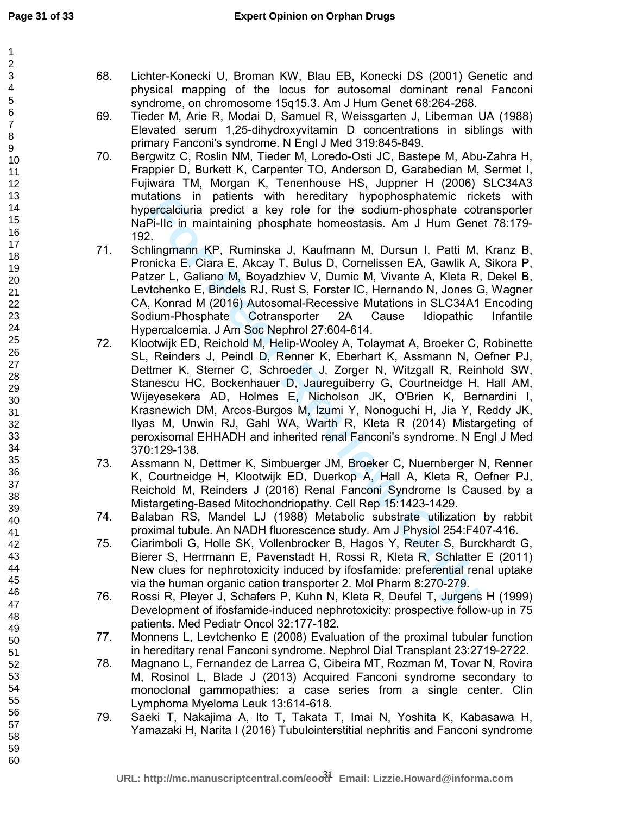- 68. Lichter-Konecki U, Broman KW, Blau EB, Konecki DS (2001) Genetic and physical mapping of the locus for autosomal dominant renal Fanconi syndrome, on chromosome 15q15.3. Am J Hum Genet 68:264-268.
- 69. Tieder M, Arie R, Modai D, Samuel R, Weissgarten J, Liberman UA (1988) Elevated serum 1,25-dihydroxyvitamin D concentrations in siblings with primary Fanconi's syndrome. N Engl J Med 319:845-849.
- 70. Bergwitz C, Roslin NM, Tieder M, Loredo-Osti JC, Bastepe M, Abu-Zahra H, Frappier D, Burkett K, Carpenter TO, Anderson D, Garabedian M, Sermet I, Fujiwara TM, Morgan K, Tenenhouse HS, Juppner H (2006) SLC34A3 mutations in patients with hereditary hypophosphatemic rickets with hypercalciuria predict a key role for the sodium-phosphate cotransporter NaPi-IIc in maintaining phosphate homeostasis. Am J Hum Genet 78:179- 192.
- 71. Schlingmann KP, Ruminska J, Kaufmann M, Dursun I, Patti M, Kranz B, Pronicka E, Ciara E, Akcay T, Bulus D, Cornelissen EA, Gawlik A, Sikora P, Patzer L, Galiano M, Boyadzhiev V, Dumic M, Vivante A, Kleta R, Dekel B, Levtchenko E, Bindels RJ, Rust S, Forster IC, Hernando N, Jones G, Wagner CA, Konrad M (2016) Autosomal-Recessive Mutations in SLC34A1 Encoding Sodium-Phosphate Cotransporter 2A Cause Idiopathic Infantile Hypercalcemia. J Am Soc Nephrol 27:604-614.
- rations in partens with hereatiany hypophosphatemic rict<br>recreationia predict a key role for the sodium-phosphate cof<br>Pi-IIc in maintaining phosphate homeostasis. Am J Hum Gene<br>Fi-Ile in maintaining phosphate homeostasis. 72. Klootwijk ED, Reichold M, Helip-Wooley A, Tolaymat A, Broeker C, Robinette SL, Reinders J, Peindl D, Renner K, Eberhart K, Assmann N, Oefner PJ, Dettmer K, Sterner C, Schroeder J, Zorger N, Witzgall R, Reinhold SW, Stanescu HC, Bockenhauer D, Jaureguiberry G, Courtneidge H, Hall AM, Wijeyesekera AD, Holmes E, Nicholson JK, O'Brien K, Bernardini I, Krasnewich DM, Arcos-Burgos M, Izumi Y, Nonoguchi H, Jia Y, Reddy JK, Ilyas M, Unwin RJ, Gahl WA, Warth R, Kleta R (2014) Mistargeting of peroxisomal EHHADH and inherited renal Fanconi's syndrome. N Engl J Med 370:129-138.
- 73. Assmann N, Dettmer K, Simbuerger JM, Broeker C, Nuernberger N, Renner K, Courtneidge H, Klootwijk ED, Duerkop A, Hall A, Kleta R, Oefner PJ, Reichold M, Reinders J (2016) Renal Fanconi Syndrome Is Caused by a Mistargeting-Based Mitochondriopathy. Cell Rep 15:1423-1429.
- 74. Balaban RS, Mandel LJ (1988) Metabolic substrate utilization by rabbit proximal tubule. An NADH fluorescence study. Am J Physiol 254:F407-416.
- 75. Ciarimboli G, Holle SK, Vollenbrocker B, Hagos Y, Reuter S, Burckhardt G, Bierer S, Herrmann E, Pavenstadt H, Rossi R, Kleta R, Schlatter E (2011) New clues for nephrotoxicity induced by ifosfamide: preferential renal uptake via the human organic cation transporter 2. Mol Pharm 8:270-279.
- 76. Rossi R, Pleyer J, Schafers P, Kuhn N, Kleta R, Deufel T, Jurgens H (1999) Development of ifosfamide-induced nephrotoxicity: prospective follow-up in 75 patients. Med Pediatr Oncol 32:177-182.
- 77. Monnens L, Levtchenko E (2008) Evaluation of the proximal tubular function in hereditary renal Fanconi syndrome. Nephrol Dial Transplant 23:2719-2722.
- 78. Magnano L, Fernandez de Larrea C, Cibeira MT, Rozman M, Tovar N, Rovira M, Rosinol L, Blade J (2013) Acquired Fanconi syndrome secondary to monoclonal gammopathies: a case series from a single center. Clin Lymphoma Myeloma Leuk 13:614-618.
- 79. Saeki T, Nakajima A, Ito T, Takata T, Imai N, Yoshita K, Kabasawa H, Yamazaki H, Narita I (2016) Tubulointerstitial nephritis and Fanconi syndrome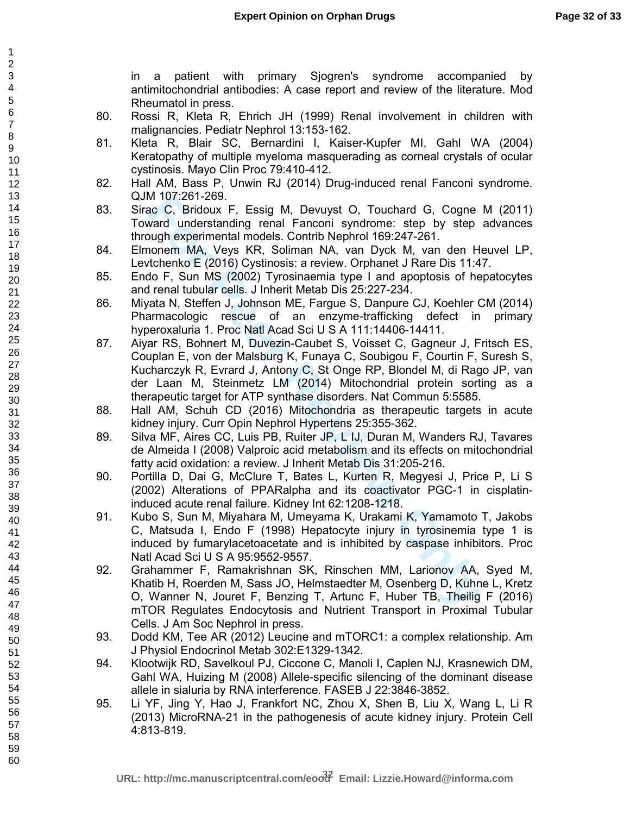in a patient with primary Sjogren's syndrome accompanied by antimitochondrial antibodies: A case report and review of the literature. Mod Rheumatol in press.

- 80. Rossi R, Kleta R, Ehrich JH (1999) Renal involvement in children with malignancies. Pediatr Nephrol 13:153-162.
- 81. Kleta R, Blair SC, Bernardini I, Kaiser-Kupfer MI, Gahl WA (2004) Keratopathy of multiple myeloma masquerading as corneal crystals of ocular cystinosis. Mayo Clin Proc 79:410-412.
- 82. Hall AM, Bass P, Unwin RJ (2014) Drug-induced renal Fanconi syndrome. QJM 107:261-269.
- 83. Sirac C, Bridoux F, Essig M, Devuyst O, Touchard G, Cogne M (2011) Toward understanding renal Fanconi syndrome: step by step advances through experimental models. Contrib Nephrol 169:247-261.
- 84. Elmonem MA, Veys KR, Soliman NA, van Dyck M, van den Heuvel LP, Levtchenko E (2016) Cystinosis: a review. Orphanet J Rare Dis 11:47.
- 85. Endo F, Sun MS (2002) Tyrosinaemia type I and apoptosis of hepatocytes and renal tubular cells. J Inherit Metab Dis 25:227-234.
- 86. Miyata N, Steffen J, Johnson ME, Fargue S, Danpure CJ, Koehler CM (2014) Pharmacologic rescue of an enzyme-trafficking defect in primary hyperoxaluria 1. Proc Natl Acad Sci U S A 111:14406-14411.
- M 10/:261-269<br>
med C, Bridoux F, Essig M, Devuyst O, Touchard G, Cogne<br>
ward understanding renal Fanconi syndrome: step by step<br>
ward understanding renal Fanconi syndrome: step by step<br>
ward understanding renal Theodoxy I 87. Aiyar RS, Bohnert M, Duvezin-Caubet S, Voisset C, Gagneur J, Fritsch ES, Couplan E, von der Malsburg K, Funaya C, Soubigou F, Courtin F, Suresh S, Kucharczyk R, Evrard J, Antony C, St Onge RP, Blondel M, di Rago JP, van der Laan M, Steinmetz LM (2014) Mitochondrial protein sorting as a therapeutic target for ATP synthase disorders. Nat Commun 5:5585.
- 88. Hall AM, Schuh CD (2016) Mitochondria as therapeutic targets in acute kidney injury. Curr Opin Nephrol Hypertens 25:355-362.
- 89. Silva MF, Aires CC, Luis PB, Ruiter JP, L IJ, Duran M, Wanders RJ, Tavares de Almeida I (2008) Valproic acid metabolism and its effects on mitochondrial fatty acid oxidation: a review. J Inherit Metab Dis 31:205-216.
- 90. Portilla D, Dai G, McClure T, Bates L, Kurten R, Megyesi J, Price P, Li S (2002) Alterations of PPARalpha and its coactivator PGC-1 in cisplatininduced acute renal failure. Kidney Int 62:1208-1218.
- 91. Kubo S, Sun M, Miyahara M, Umeyama K, Urakami K, Yamamoto T, Jakobs C, Matsuda I, Endo F (1998) Hepatocyte injury in tyrosinemia type 1 is induced by fumarylacetoacetate and is inhibited by caspase inhibitors. Proc Natl Acad Sci U S A 95:9552-9557.
- 92. Grahammer F, Ramakrishnan SK, Rinschen MM, Larionov AA, Syed M, Khatib H, Roerden M, Sass JO, Helmstaedter M, Osenberg D, Kuhne L, Kretz O, Wanner N, Jouret F, Benzing T, Artunc F, Huber TB, Theilig F (2016) mTOR Regulates Endocytosis and Nutrient Transport in Proximal Tubular Cells. J Am Soc Nephrol in press.
- 93. Dodd KM, Tee AR (2012) Leucine and mTORC1: a complex relationship. Am J Physiol Endocrinol Metab 302:E1329-1342.
- 94. Klootwijk RD, Savelkoul PJ, Ciccone C, Manoli I, Caplen NJ, Krasnewich DM, Gahl WA, Huizing M (2008) Allele-specific silencing of the dominant disease allele in sialuria by RNA interference. FASEB J 22:3846-3852.
- 95. Li YF, Jing Y, Hao J, Frankfort NC, Zhou X, Shen B, Liu X, Wang L, Li R (2013) MicroRNA-21 in the pathogenesis of acute kidney injury. Protein Cell 4:813-819.